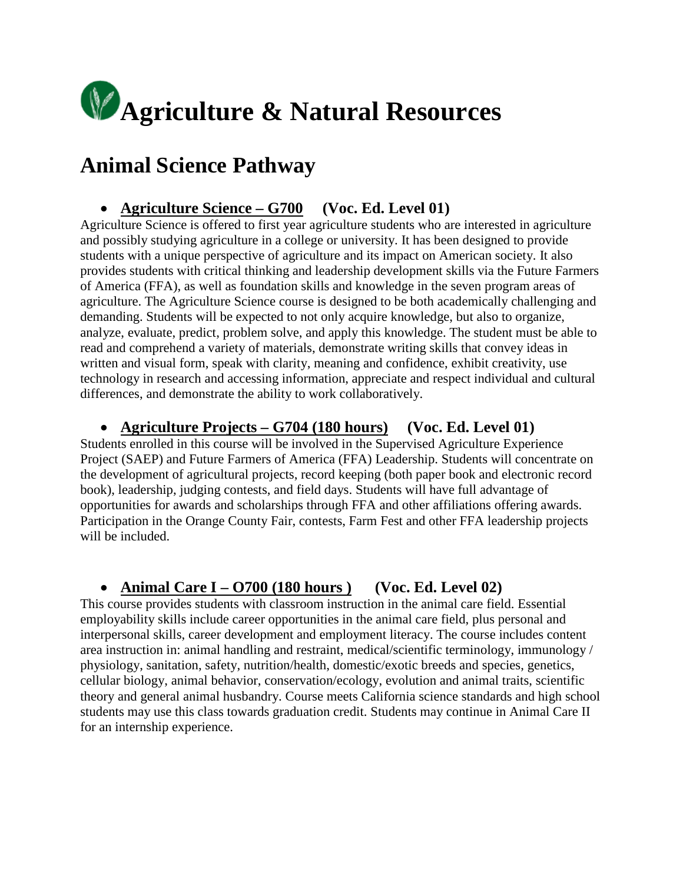

# **Animal Science Pathway**

#### • **Agriculture Science – G700 (Voc. Ed. Level 01)**

Agriculture Science is offered to first year agriculture students who are interested in agriculture and possibly studying agriculture in a college or university. It has been designed to provide students with a unique perspective of agriculture and its impact on American society. It also provides students with critical thinking and leadership development skills via the Future Farmers of America (FFA), as well as foundation skills and knowledge in the seven program areas of agriculture. The Agriculture Science course is designed to be both academically challenging and demanding. Students will be expected to not only acquire knowledge, but also to organize, analyze, evaluate, predict, problem solve, and apply this knowledge. The student must be able to read and comprehend a variety of materials, demonstrate writing skills that convey ideas in written and visual form, speak with clarity, meaning and confidence, exhibit creativity, use technology in research and accessing information, appreciate and respect individual and cultural differences, and demonstrate the ability to work collaboratively.

#### • **Agriculture Projects – G704 (180 hours) (Voc. Ed. Level 01)**

Students enrolled in this course will be involved in the Supervised Agriculture Experience Project (SAEP) and Future Farmers of America (FFA) Leadership. Students will concentrate on the development of agricultural projects, record keeping (both paper book and electronic record book), leadership, judging contests, and field days. Students will have full advantage of opportunities for awards and scholarships through FFA and other affiliations offering awards. Participation in the Orange County Fair, contests, Farm Fest and other FFA leadership projects will be included.

#### • **Animal Care I – O700 (180 hours ) (Voc. Ed. Level 02)**

This course provides students with classroom instruction in the animal care field. Essential employability skills include career opportunities in the animal care field, plus personal and interpersonal skills, career development and employment literacy. The course includes content area instruction in: animal handling and restraint, medical/scientific terminology, immunology / physiology, sanitation, safety, nutrition/health, domestic/exotic breeds and species, genetics, cellular biology, animal behavior, conservation/ecology, evolution and animal traits, scientific theory and general animal husbandry. Course meets California science standards and high school students may use this class towards graduation credit. Students may continue in Animal Care II for an internship experience.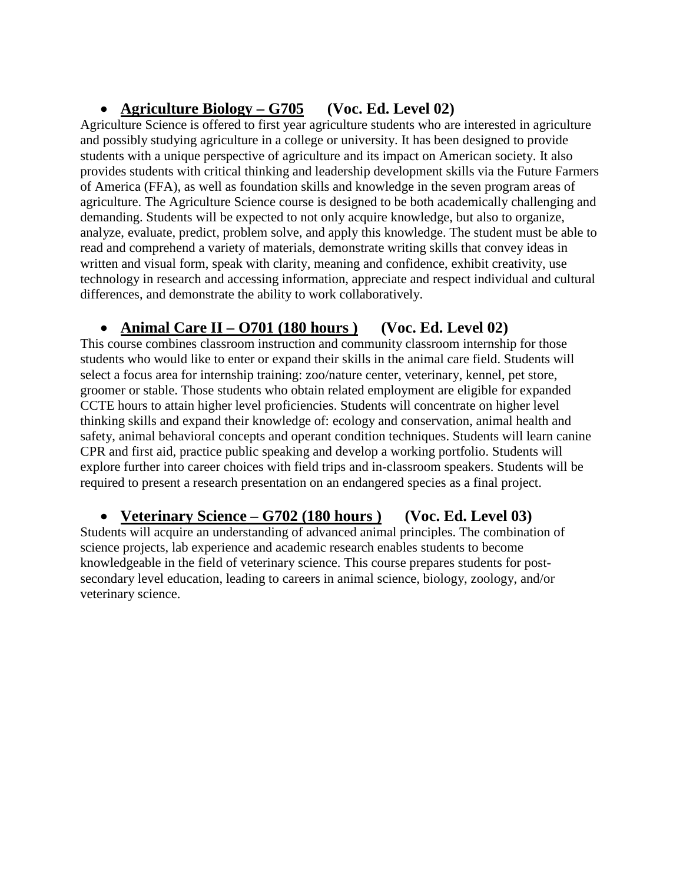## • **Agriculture Biology – G705 (Voc. Ed. Level 02)**

Agriculture Science is offered to first year agriculture students who are interested in agriculture and possibly studying agriculture in a college or university. It has been designed to provide students with a unique perspective of agriculture and its impact on American society. It also provides students with critical thinking and leadership development skills via the Future Farmers of America (FFA), as well as foundation skills and knowledge in the seven program areas of agriculture. The Agriculture Science course is designed to be both academically challenging and demanding. Students will be expected to not only acquire knowledge, but also to organize, analyze, evaluate, predict, problem solve, and apply this knowledge. The student must be able to read and comprehend a variety of materials, demonstrate writing skills that convey ideas in written and visual form, speak with clarity, meaning and confidence, exhibit creativity, use technology in research and accessing information, appreciate and respect individual and cultural differences, and demonstrate the ability to work collaboratively.

#### • **Animal Care II – O701 (180 hours ) (Voc. Ed. Level 02)**

This course combines classroom instruction and community classroom internship for those students who would like to enter or expand their skills in the animal care field. Students will select a focus area for internship training: zoo/nature center, veterinary, kennel, pet store, groomer or stable. Those students who obtain related employment are eligible for expanded CCTE hours to attain higher level proficiencies. Students will concentrate on higher level thinking skills and expand their knowledge of: ecology and conservation, animal health and safety, animal behavioral concepts and operant condition techniques. Students will learn canine CPR and first aid, practice public speaking and develop a working portfolio. Students will explore further into career choices with field trips and in-classroom speakers. Students will be required to present a research presentation on an endangered species as a final project.

#### • **Veterinary Science – G702 (180 hours ) (Voc. Ed. Level 03)**

Students will acquire an understanding of advanced animal principles. The combination of science projects, lab experience and academic research enables students to become knowledgeable in the field of veterinary science. This course prepares students for postsecondary level education, leading to careers in animal science, biology, zoology, and/or veterinary science.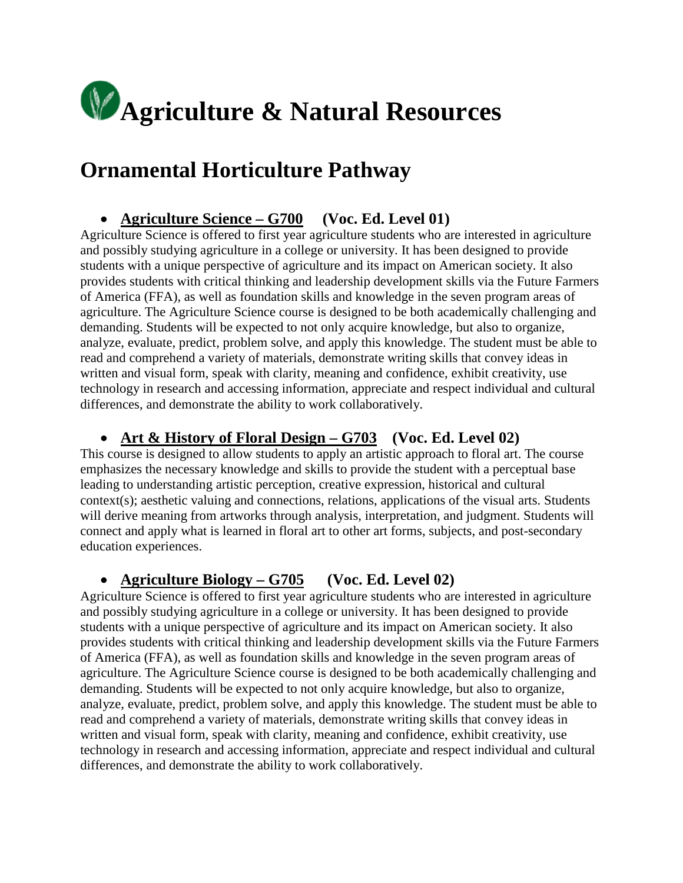

## **Ornamental Horticulture Pathway**

### • **Agriculture Science – G700 (Voc. Ed. Level 01)**

Agriculture Science is offered to first year agriculture students who are interested in agriculture and possibly studying agriculture in a college or university. It has been designed to provide students with a unique perspective of agriculture and its impact on American society. It also provides students with critical thinking and leadership development skills via the Future Farmers of America (FFA), as well as foundation skills and knowledge in the seven program areas of agriculture. The Agriculture Science course is designed to be both academically challenging and demanding. Students will be expected to not only acquire knowledge, but also to organize, analyze, evaluate, predict, problem solve, and apply this knowledge. The student must be able to read and comprehend a variety of materials, demonstrate writing skills that convey ideas in written and visual form, speak with clarity, meaning and confidence, exhibit creativity, use technology in research and accessing information, appreciate and respect individual and cultural differences, and demonstrate the ability to work collaboratively.

#### • **Art & History of Floral Design – G703 (Voc. Ed. Level 02)**

This course is designed to allow students to apply an artistic approach to floral art. The course emphasizes the necessary knowledge and skills to provide the student with a perceptual base leading to understanding artistic perception, creative expression, historical and cultural context(s); aesthetic valuing and connections, relations, applications of the visual arts. Students will derive meaning from artworks through analysis, interpretation, and judgment. Students will connect and apply what is learned in floral art to other art forms, subjects, and post-secondary education experiences.

#### • **Agriculture Biology – G705 (Voc. Ed. Level 02)**

Agriculture Science is offered to first year agriculture students who are interested in agriculture and possibly studying agriculture in a college or university. It has been designed to provide students with a unique perspective of agriculture and its impact on American society. It also provides students with critical thinking and leadership development skills via the Future Farmers of America (FFA), as well as foundation skills and knowledge in the seven program areas of agriculture. The Agriculture Science course is designed to be both academically challenging and demanding. Students will be expected to not only acquire knowledge, but also to organize, analyze, evaluate, predict, problem solve, and apply this knowledge. The student must be able to read and comprehend a variety of materials, demonstrate writing skills that convey ideas in written and visual form, speak with clarity, meaning and confidence, exhibit creativity, use technology in research and accessing information, appreciate and respect individual and cultural differences, and demonstrate the ability to work collaboratively.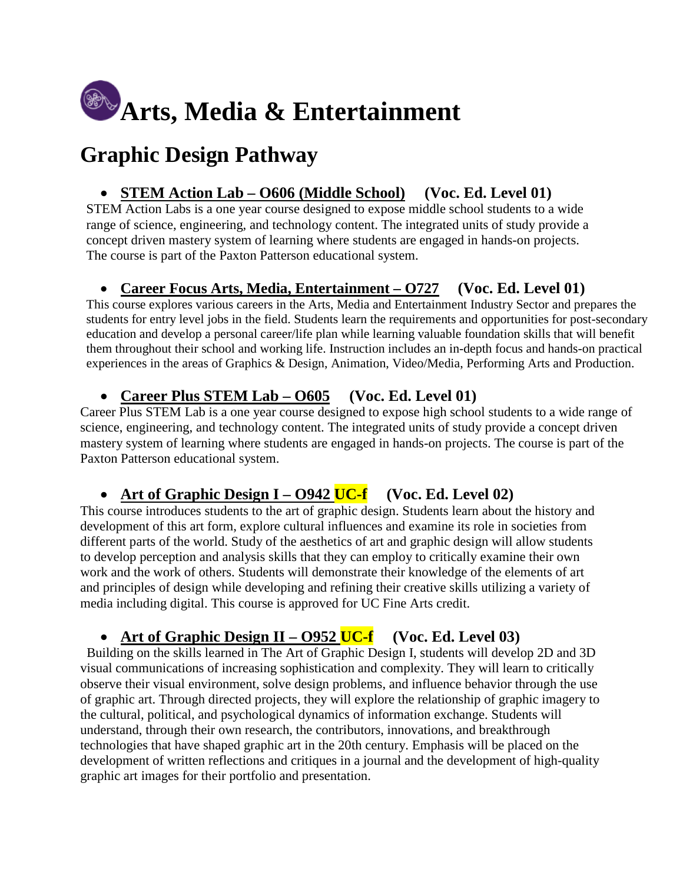

# **Graphic Design Pathway**

#### • **STEM Action Lab – O606 (Middle School) (Voc. Ed. Level 01)**

STEM Action Labs is a one year course designed to expose middle school students to a wide range of science, engineering, and technology content. The integrated units of study provide a concept driven mastery system of learning where students are engaged in hands-on projects. The course is part of the Paxton Patterson educational system.

#### • **Career Focus Arts, Media, Entertainment – O727 (Voc. Ed. Level 01)**

This course explores various careers in the Arts, Media and Entertainment Industry Sector and prepares the students for entry level jobs in the field. Students learn the requirements and opportunities for post-secondary education and develop a personal career/life plan while learning valuable foundation skills that will benefit them throughout their school and working life. Instruction includes an in-depth focus and hands-on practical experiences in the areas of Graphics & Design, Animation, Video/Media, Performing Arts and Production.

#### • **Career Plus STEM Lab – O605 (Voc. Ed. Level 01)**

Career Plus STEM Lab is a one year course designed to expose high school students to a wide range of science, engineering, and technology content. The integrated units of study provide a concept driven mastery system of learning where students are engaged in hands-on projects. The course is part of the Paxton Patterson educational system.

#### • Art of Graphic Design I – **O942** UC-f (Voc. Ed. Level 02)

This course introduces students to the art of graphic design. Students learn about the history and development of this art form, explore cultural influences and examine its role in societies from different parts of the world. Study of the aesthetics of art and graphic design will allow students to develop perception and analysis skills that they can employ to critically examine their own work and the work of others. Students will demonstrate their knowledge of the elements of art and principles of design while developing and refining their creative skills utilizing a variety of media including digital. This course is approved for UC Fine Arts credit.

#### • Art of Graphic Design II – **O952** UC-f (Voc. Ed. Level 03)

 Building on the skills learned in The Art of Graphic Design I, students will develop 2D and 3D visual communications of increasing sophistication and complexity. They will learn to critically observe their visual environment, solve design problems, and influence behavior through the use of graphic art. Through directed projects, they will explore the relationship of graphic imagery to the cultural, political, and psychological dynamics of information exchange. Students will understand, through their own research, the contributors, innovations, and breakthrough technologies that have shaped graphic art in the 20th century. Emphasis will be placed on the development of written reflections and critiques in a journal and the development of high-quality graphic art images for their portfolio and presentation.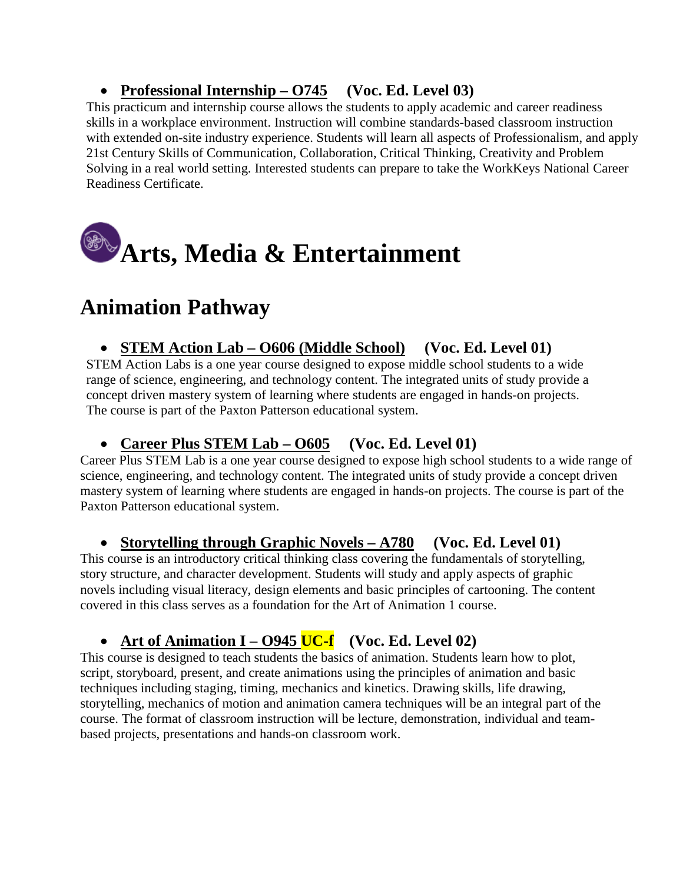## • **Professional Internship – O745 (Voc. Ed. Level 03)**

This practicum and internship course allows the students to apply academic and career readiness skills in a workplace environment. Instruction will combine standards-based classroom instruction with extended on-site industry experience. Students will learn all aspects of Professionalism, and apply 21st Century Skills of Communication, Collaboration, Critical Thinking, Creativity and Problem Solving in a real world setting. Interested students can prepare to take the WorkKeys National Career Readiness Certificate.

# **Arts, Media & Entertainment**

# **Animation Pathway**

#### • **STEM Action Lab – O606 (Middle School) (Voc. Ed. Level 01)**

STEM Action Labs is a one year course designed to expose middle school students to a wide range of science, engineering, and technology content. The integrated units of study provide a concept driven mastery system of learning where students are engaged in hands-on projects. The course is part of the Paxton Patterson educational system.

#### • **Career Plus STEM Lab – O605 (Voc. Ed. Level 01)**

Career Plus STEM Lab is a one year course designed to expose high school students to a wide range of science, engineering, and technology content. The integrated units of study provide a concept driven mastery system of learning where students are engaged in hands-on projects. The course is part of the Paxton Patterson educational system.

#### • **Storytelling through Graphic Novels – A780 (Voc. Ed. Level 01)**

This course is an introductory critical thinking class covering the fundamentals of storytelling, story structure, and character development. Students will study and apply aspects of graphic novels including visual literacy, design elements and basic principles of cartooning. The content covered in this class serves as a foundation for the Art of Animation 1 course.

#### • Art of Animation I – **O945** UC-f (Voc. Ed. Level 02)

This course is designed to teach students the basics of animation. Students learn how to plot, script, storyboard, present, and create animations using the principles of animation and basic techniques including staging, timing, mechanics and kinetics. Drawing skills, life drawing, storytelling, mechanics of motion and animation camera techniques will be an integral part of the course. The format of classroom instruction will be lecture, demonstration, individual and teambased projects, presentations and hands-on classroom work.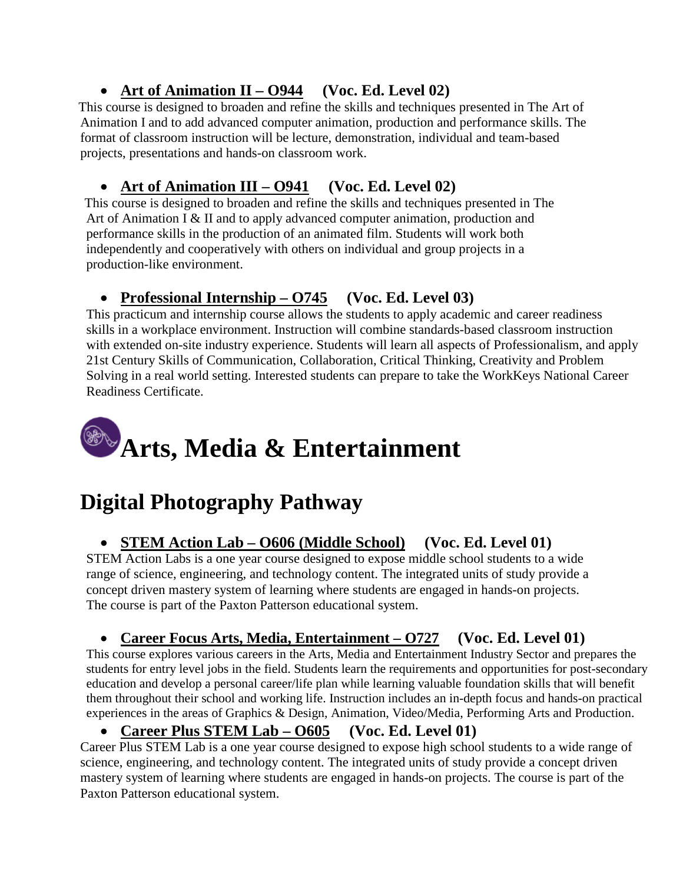## • **Art of Animation II – O944 (Voc. Ed. Level 02)**

This course is designed to broaden and refine the skills and techniques presented in The Art of Animation I and to add advanced computer animation, production and performance skills. The format of classroom instruction will be lecture, demonstration, individual and team-based projects, presentations and hands-on classroom work.

## • **Art of Animation III – O941 (Voc. Ed. Level 02)**

 This course is designed to broaden and refine the skills and techniques presented in The Art of Animation I & II and to apply advanced computer animation, production and performance skills in the production of an animated film. Students will work both independently and cooperatively with others on individual and group projects in a production-like environment.

## • **Professional Internship – O745 (Voc. Ed. Level 03)**

This practicum and internship course allows the students to apply academic and career readiness skills in a workplace environment. Instruction will combine standards-based classroom instruction with extended on-site industry experience. Students will learn all aspects of Professionalism, and apply 21st Century Skills of Communication, Collaboration, Critical Thinking, Creativity and Problem Solving in a real world setting. Interested students can prepare to take the WorkKeys National Career Readiness Certificate.

# **Arts, Media & Entertainment**

# **Digital Photography Pathway**

## • **STEM Action Lab – O606 (Middle School) (Voc. Ed. Level 01)**

STEM Action Labs is a one year course designed to expose middle school students to a wide range of science, engineering, and technology content. The integrated units of study provide a concept driven mastery system of learning where students are engaged in hands-on projects. The course is part of the Paxton Patterson educational system.

#### • **Career Focus Arts, Media, Entertainment – O727 (Voc. Ed. Level 01)**

This course explores various careers in the Arts, Media and Entertainment Industry Sector and prepares the students for entry level jobs in the field. Students learn the requirements and opportunities for post-secondary education and develop a personal career/life plan while learning valuable foundation skills that will benefit them throughout their school and working life. Instruction includes an in-depth focus and hands-on practical experiences in the areas of Graphics & Design, Animation, Video/Media, Performing Arts and Production.

#### • **Career Plus STEM Lab – O605 (Voc. Ed. Level 01)**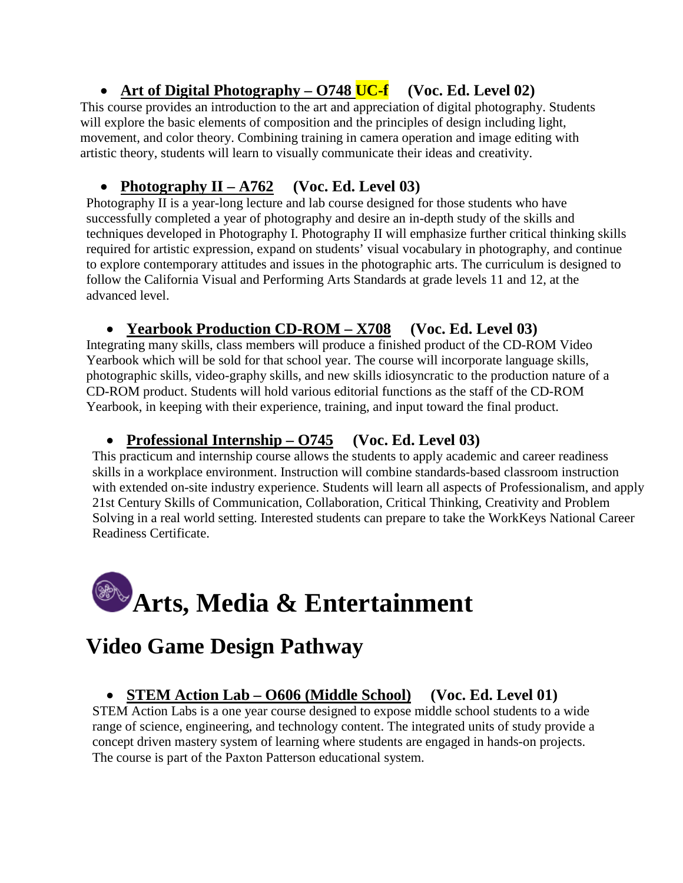## • Art of Digital Photography – 0748 UC-f (Voc. Ed. Level 02)

This course provides an introduction to the art and appreciation of digital photography. Students will explore the basic elements of composition and the principles of design including light, movement, and color theory. Combining training in camera operation and image editing with artistic theory, students will learn to visually communicate their ideas and creativity.

## • **Photography II – A762 (Voc. Ed. Level 03)**

Photography II is a year-long lecture and lab course designed for those students who have successfully completed a year of photography and desire an in-depth study of the skills and techniques developed in Photography I. Photography II will emphasize further critical thinking skills required for artistic expression, expand on students' visual vocabulary in photography, and continue to explore contemporary attitudes and issues in the photographic arts. The curriculum is designed to follow the California Visual and Performing Arts Standards at grade levels 11 and 12, at the advanced level.

## • **Yearbook Production CD-ROM – X708 (Voc. Ed. Level 03)**

Integrating many skills, class members will produce a finished product of the CD-ROM Video Yearbook which will be sold for that school year. The course will incorporate language skills, photographic skills, video-graphy skills, and new skills idiosyncratic to the production nature of a CD-ROM product. Students will hold various editorial functions as the staff of the CD-ROM Yearbook, in keeping with their experience, training, and input toward the final product.

## • **Professional Internship – O745 (Voc. Ed. Level 03)**

This practicum and internship course allows the students to apply academic and career readiness skills in a workplace environment. Instruction will combine standards-based classroom instruction with extended on-site industry experience. Students will learn all aspects of Professionalism, and apply 21st Century Skills of Communication, Collaboration, Critical Thinking, Creativity and Problem Solving in a real world setting. Interested students can prepare to take the WorkKeys National Career Readiness Certificate.

# **Arts, Media & Entertainment**

# **Video Game Design Pathway**

## • **STEM Action Lab – O606 (Middle School) (Voc. Ed. Level 01)**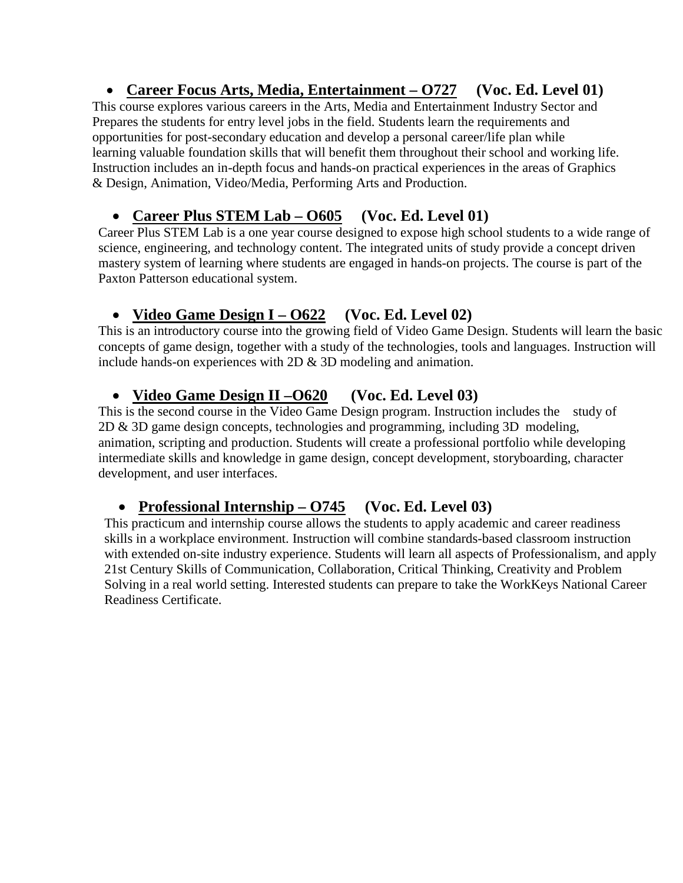## • **Career Focus Arts, Media, Entertainment – O727 (Voc. Ed. Level 01)**

This course explores various careers in the Arts, Media and Entertainment Industry Sector and Prepares the students for entry level jobs in the field. Students learn the requirements and opportunities for post-secondary education and develop a personal career/life plan while learning valuable foundation skills that will benefit them throughout their school and working life. Instruction includes an in-depth focus and hands-on practical experiences in the areas of Graphics & Design, Animation, Video/Media, Performing Arts and Production.

## • **Career Plus STEM Lab – O605 (Voc. Ed. Level 01)**

Career Plus STEM Lab is a one year course designed to expose high school students to a wide range of science, engineering, and technology content. The integrated units of study provide a concept driven mastery system of learning where students are engaged in hands-on projects. The course is part of the Paxton Patterson educational system.

## • **Video Game Design I – O622 (Voc. Ed. Level 02)**

This is an introductory course into the growing field of Video Game Design. Students will learn the basic concepts of game design, together with a study of the technologies, tools and languages. Instruction will include hands-on experiences with 2D & 3D modeling and animation.

#### • **Video Game Design II –O620 (Voc. Ed. Level 03)**

This is the second course in the Video Game Design program. Instruction includes the study of 2D & 3D game design concepts, technologies and programming, including 3D modeling, animation, scripting and production. Students will create a professional portfolio while developing intermediate skills and knowledge in game design, concept development, storyboarding, character development, and user interfaces.

## • **Professional Internship – O745 (Voc. Ed. Level 03)**

This practicum and internship course allows the students to apply academic and career readiness skills in a workplace environment. Instruction will combine standards-based classroom instruction with extended on-site industry experience. Students will learn all aspects of Professionalism, and apply 21st Century Skills of Communication, Collaboration, Critical Thinking, Creativity and Problem Solving in a real world setting. Interested students can prepare to take the WorkKeys National Career Readiness Certificate.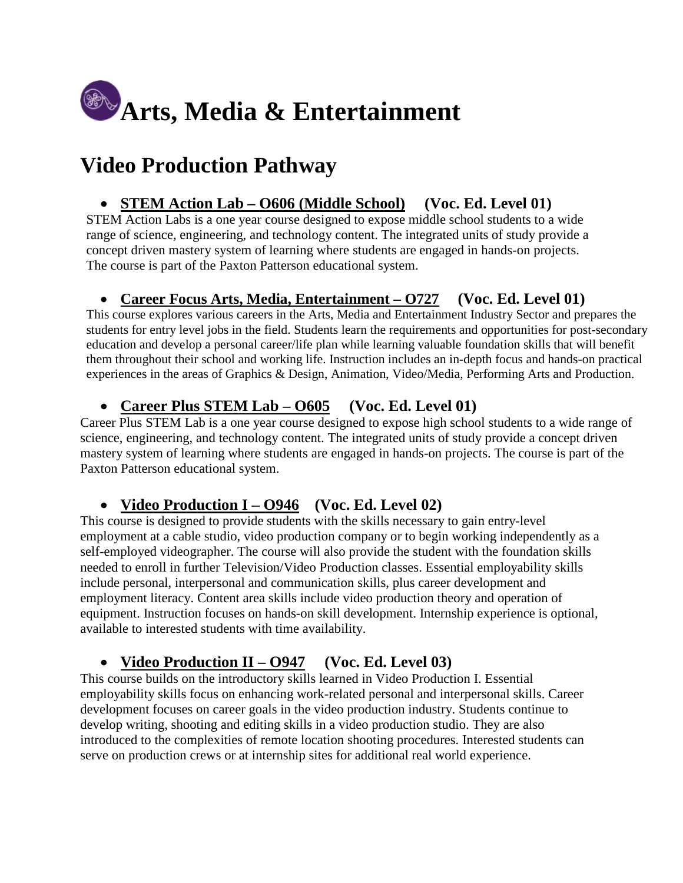

# **Video Production Pathway**

### • **STEM Action Lab – O606 (Middle School) (Voc. Ed. Level 01)**

STEM Action Labs is a one year course designed to expose middle school students to a wide range of science, engineering, and technology content. The integrated units of study provide a concept driven mastery system of learning where students are engaged in hands-on projects. The course is part of the Paxton Patterson educational system.

#### • **Career Focus Arts, Media, Entertainment – O727 (Voc. Ed. Level 01)**

This course explores various careers in the Arts, Media and Entertainment Industry Sector and prepares the students for entry level jobs in the field. Students learn the requirements and opportunities for post-secondary education and develop a personal career/life plan while learning valuable foundation skills that will benefit them throughout their school and working life. Instruction includes an in-depth focus and hands-on practical experiences in the areas of Graphics & Design, Animation, Video/Media, Performing Arts and Production.

## • **Career Plus STEM Lab – O605 (Voc. Ed. Level 01)**

Career Plus STEM Lab is a one year course designed to expose high school students to a wide range of science, engineering, and technology content. The integrated units of study provide a concept driven mastery system of learning where students are engaged in hands-on projects. The course is part of the Paxton Patterson educational system.

#### • **Video Production I – O946 (Voc. Ed. Level 02)**

This course is designed to provide students with the skills necessary to gain entry-level employment at a cable studio, video production company or to begin working independently as a self-employed videographer. The course will also provide the student with the foundation skills needed to enroll in further Television/Video Production classes. Essential employability skills include personal, interpersonal and communication skills, plus career development and employment literacy. Content area skills include video production theory and operation of equipment. Instruction focuses on hands-on skill development. Internship experience is optional, available to interested students with time availability.

#### • **Video Production II – O947 (Voc. Ed. Level 03)**

This course builds on the introductory skills learned in Video Production I. Essential employability skills focus on enhancing work-related personal and interpersonal skills. Career development focuses on career goals in the video production industry. Students continue to develop writing, shooting and editing skills in a video production studio. They are also introduced to the complexities of remote location shooting procedures. Interested students can serve on production crews or at internship sites for additional real world experience.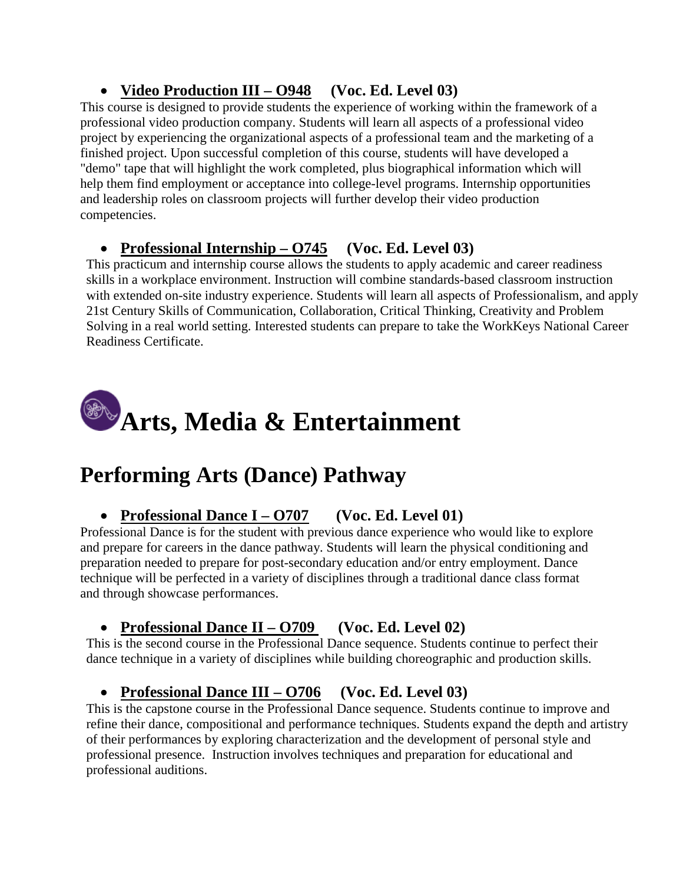## • **Video Production III – O948 (Voc. Ed. Level 03)**

This course is designed to provide students the experience of working within the framework of a professional video production company. Students will learn all aspects of a professional video project by experiencing the organizational aspects of a professional team and the marketing of a finished project. Upon successful completion of this course, students will have developed a "demo" tape that will highlight the work completed, plus biographical information which will help them find employment or acceptance into college-level programs. Internship opportunities and leadership roles on classroom projects will further develop their video production competencies.

## • **Professional Internship – O745 (Voc. Ed. Level 03)**

This practicum and internship course allows the students to apply academic and career readiness skills in a workplace environment. Instruction will combine standards-based classroom instruction with extended on-site industry experience. Students will learn all aspects of Professionalism, and apply 21st Century Skills of Communication, Collaboration, Critical Thinking, Creativity and Problem Solving in a real world setting. Interested students can prepare to take the WorkKeys National Career Readiness Certificate.



# **Performing Arts (Dance) Pathway**

## • **Professional Dance I – O707 (Voc. Ed. Level 01)**

Professional Dance is for the student with previous dance experience who would like to explore and prepare for careers in the dance pathway. Students will learn the physical conditioning and preparation needed to prepare for post-secondary education and/or entry employment. Dance technique will be perfected in a variety of disciplines through a traditional dance class format and through showcase performances.

## • **Professional Dance II – O709 (Voc. Ed. Level 02)**

This is the second course in the Professional Dance sequence. Students continue to perfect their dance technique in a variety of disciplines while building choreographic and production skills.

## • **Professional Dance III – O706 (Voc. Ed. Level 03)**

This is the capstone course in the Professional Dance sequence. Students continue to improve and refine their dance, compositional and performance techniques. Students expand the depth and artistry of their performances by exploring characterization and the development of personal style and professional presence. Instruction involves techniques and preparation for educational and professional auditions.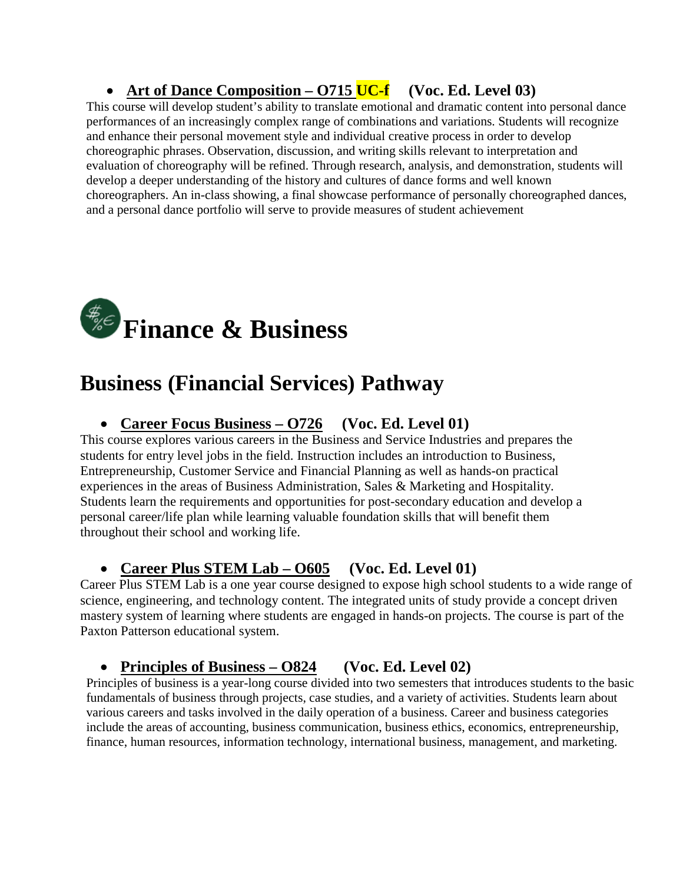## • Art of Dance Composition – **O715 UC-f** (Voc. Ed. Level 03)

This course will develop student's ability to translate emotional and dramatic content into personal dance performances of an increasingly complex range of combinations and variations. Students will recognize and enhance their personal movement style and individual creative process in order to develop choreographic phrases. Observation, discussion, and writing skills relevant to interpretation and evaluation of choreography will be refined. Through research, analysis, and demonstration, students will develop a deeper understanding of the history and cultures of dance forms and well known choreographers. An in-class showing, a final showcase performance of personally choreographed dances, and a personal dance portfolio will serve to provide measures of student achievement



# **Business (Financial Services) Pathway**

#### • **Career Focus Business – O726 (Voc. Ed. Level 01)**

This course explores various careers in the Business and Service Industries and prepares the students for entry level jobs in the field. Instruction includes an introduction to Business, Entrepreneurship, Customer Service and Financial Planning as well as hands-on practical experiences in the areas of Business Administration, Sales & Marketing and Hospitality. Students learn the requirements and opportunities for post-secondary education and develop a personal career/life plan while learning valuable foundation skills that will benefit them throughout their school and working life.

#### • **Career Plus STEM Lab – O605 (Voc. Ed. Level 01)**

Career Plus STEM Lab is a one year course designed to expose high school students to a wide range of science, engineering, and technology content. The integrated units of study provide a concept driven mastery system of learning where students are engaged in hands-on projects. The course is part of the Paxton Patterson educational system.

#### • **Principles of Business – O824 (Voc. Ed. Level 02)**

Principles of business is a year-long course divided into two semesters that introduces students to the basic fundamentals of business through projects, case studies, and a variety of activities. Students learn about various careers and tasks involved in the daily operation of a business. Career and business categories include the areas of accounting, business communication, business ethics, economics, entrepreneurship, finance, human resources, information technology, international business, management, and marketing.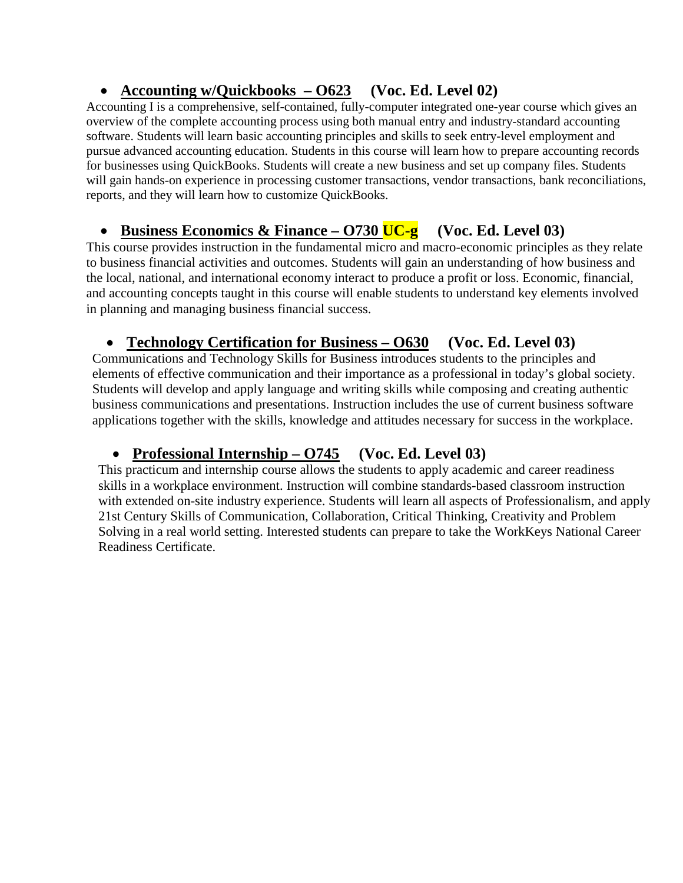## • **Accounting w/Quickbooks – O623 (Voc. Ed. Level 02)**

Accounting I is a comprehensive, self-contained, fully-computer integrated one-year course which gives an overview of the complete accounting process using both manual entry and industry-standard accounting software. Students will learn basic accounting principles and skills to seek entry-level employment and pursue advanced accounting education. Students in this course will learn how to prepare accounting records for businesses using QuickBooks. Students will create a new business and set up company files. Students will gain hands-on experience in processing customer transactions, vendor transactions, bank reconciliations, reports, and they will learn how to customize QuickBooks.

## • **Business Economics & Finance – O730 UC-g (Voc. Ed. Level 03)**

This course provides instruction in the fundamental micro and macro-economic principles as they relate to business financial activities and outcomes. Students will gain an understanding of how business and the local, national, and international economy interact to produce a profit or loss. Economic, financial, and accounting concepts taught in this course will enable students to understand key elements involved in planning and managing business financial success.

## • **Technology Certification for Business – O630 (Voc. Ed. Level 03)**

Communications and Technology Skills for Business introduces students to the principles and elements of effective communication and their importance as a professional in today's global society. Students will develop and apply language and writing skills while composing and creating authentic business communications and presentations. Instruction includes the use of current business software applications together with the skills, knowledge and attitudes necessary for success in the workplace.

## • **Professional Internship – O745 (Voc. Ed. Level 03)**

This practicum and internship course allows the students to apply academic and career readiness skills in a workplace environment. Instruction will combine standards-based classroom instruction with extended on-site industry experience. Students will learn all aspects of Professionalism, and apply 21st Century Skills of Communication, Collaboration, Critical Thinking, Creativity and Problem Solving in a real world setting. Interested students can prepare to take the WorkKeys National Career Readiness Certificate.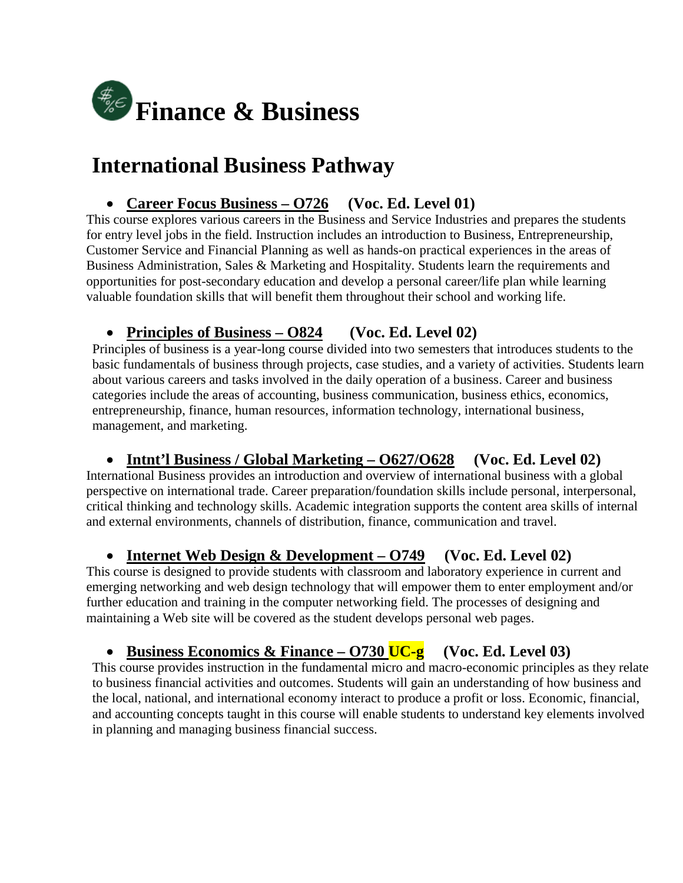

# **International Business Pathway**

### • **Career Focus Business – O726 (Voc. Ed. Level 01)**

This course explores various careers in the Business and Service Industries and prepares the students for entry level jobs in the field. Instruction includes an introduction to Business, Entrepreneurship, Customer Service and Financial Planning as well as hands-on practical experiences in the areas of Business Administration, Sales & Marketing and Hospitality. Students learn the requirements and opportunities for post-secondary education and develop a personal career/life plan while learning valuable foundation skills that will benefit them throughout their school and working life.

## • **Principles of Business – O824 (Voc. Ed. Level 02)**

Principles of business is a year-long course divided into two semesters that introduces students to the basic fundamentals of business through projects, case studies, and a variety of activities. Students learn about various careers and tasks involved in the daily operation of a business. Career and business categories include the areas of accounting, business communication, business ethics, economics, entrepreneurship, finance, human resources, information technology, international business, management, and marketing.

#### • **Intnt'l Business / Global Marketing – O627/O628 (Voc. Ed. Level 02)**

International Business provides an introduction and overview of international business with a global perspective on international trade. Career preparation/foundation skills include personal, interpersonal, critical thinking and technology skills. Academic integration supports the content area skills of internal and external environments, channels of distribution, finance, communication and travel.

## • **Internet Web Design & Development – O749 (Voc. Ed. Level 02)**

This course is designed to provide students with classroom and laboratory experience in current and emerging networking and web design technology that will empower them to enter employment and/or further education and training in the computer networking field. The processes of designing and maintaining a Web site will be covered as the student develops personal web pages.

## • **Business Economics & Finance – O730 UC-g (Voc. Ed. Level 03)**

This course provides instruction in the fundamental micro and macro-economic principles as they relate to business financial activities and outcomes. Students will gain an understanding of how business and the local, national, and international economy interact to produce a profit or loss. Economic, financial, and accounting concepts taught in this course will enable students to understand key elements involved in planning and managing business financial success.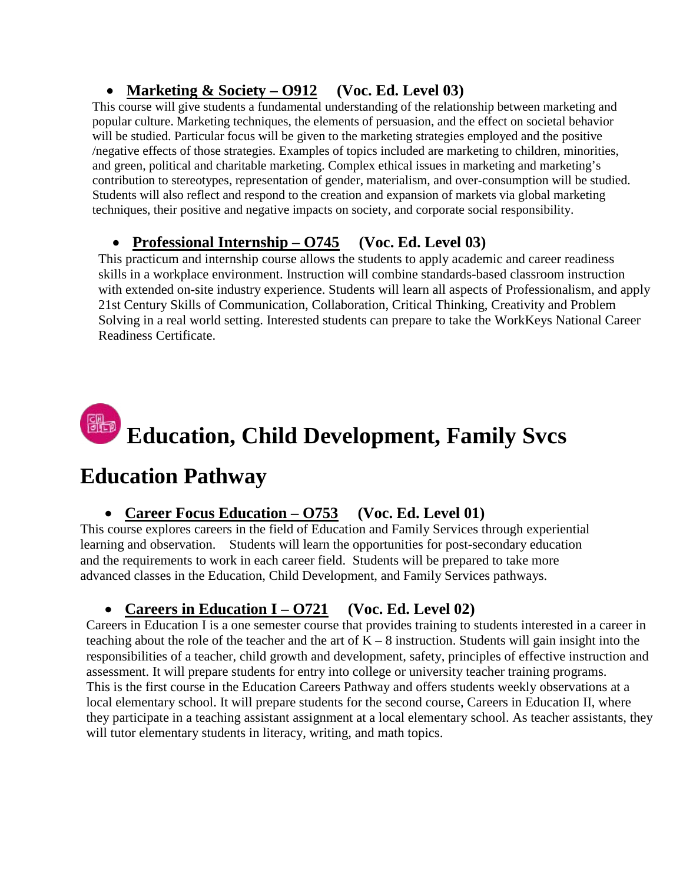## • **Marketing & Society – O912 (Voc. Ed. Level 03)**

This course will give students a fundamental understanding of the relationship between marketing and popular culture. Marketing techniques, the elements of persuasion, and the effect on societal behavior will be studied. Particular focus will be given to the marketing strategies employed and the positive /negative effects of those strategies. Examples of topics included are marketing to children, minorities, and green, political and charitable marketing. Complex ethical issues in marketing and marketing's contribution to stereotypes, representation of gender, materialism, and over-consumption will be studied. Students will also reflect and respond to the creation and expansion of markets via global marketing techniques, their positive and negative impacts on society, and corporate social responsibility.

## • **Professional Internship – O745 (Voc. Ed. Level 03)**

This practicum and internship course allows the students to apply academic and career readiness skills in a workplace environment. Instruction will combine standards-based classroom instruction with extended on-site industry experience. Students will learn all aspects of Professionalism, and apply 21st Century Skills of Communication, Collaboration, Critical Thinking, Creativity and Problem Solving in a real world setting. Interested students can prepare to take the WorkKeys National Career Readiness Certificate.

# **Education, Child Development, Family Svcs**

# **Education Pathway**

## • **Career Focus Education – O753 (Voc. Ed. Level 01)**

This course explores careers in the field of Education and Family Services through experiential learning and observation. Students will learn the opportunities for post-secondary education and the requirements to work in each career field. Students will be prepared to take more advanced classes in the Education, Child Development, and Family Services pathways.

## • **Careers in Education I – O721 (Voc. Ed. Level 02)**

Careers in Education I is a one semester course that provides training to students interested in a career in teaching about the role of the teacher and the art of  $K - 8$  instruction. Students will gain insight into the responsibilities of a teacher, child growth and development, safety, principles of effective instruction and assessment. It will prepare students for entry into college or university teacher training programs. This is the first course in the Education Careers Pathway and offers students weekly observations at a local elementary school. It will prepare students for the second course, Careers in Education II, where they participate in a teaching assistant assignment at a local elementary school. As teacher assistants, they will tutor elementary students in literacy, writing, and math topics.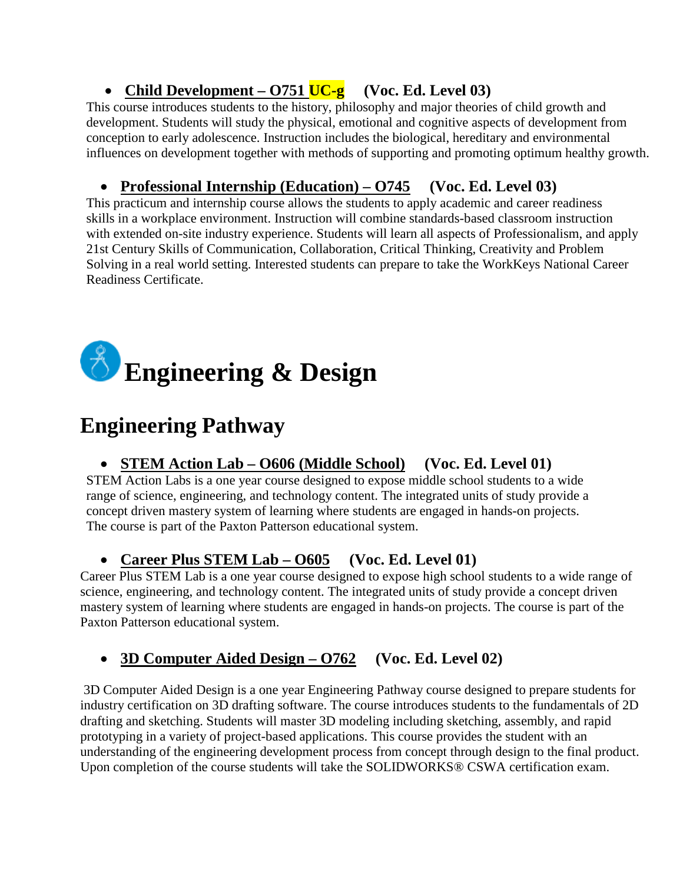## • **Child Development – O751 UC-g (Voc. Ed. Level 03)**

 This course introduces students to the history, philosophy and major theories of child growth and development. Students will study the physical, emotional and cognitive aspects of development from conception to early adolescence. Instruction includes the biological, hereditary and environmental influences on development together with methods of supporting and promoting optimum healthy growth.

## • **Professional Internship (Education) – O745 (Voc. Ed. Level 03)**

This practicum and internship course allows the students to apply academic and career readiness skills in a workplace environment. Instruction will combine standards-based classroom instruction with extended on-site industry experience. Students will learn all aspects of Professionalism, and apply 21st Century Skills of Communication, Collaboration, Critical Thinking, Creativity and Problem Solving in a real world setting. Interested students can prepare to take the WorkKeys National Career Readiness Certificate.



# **Engineering Pathway**

## • **STEM Action Lab – O606 (Middle School) (Voc. Ed. Level 01)**

STEM Action Labs is a one year course designed to expose middle school students to a wide range of science, engineering, and technology content. The integrated units of study provide a concept driven mastery system of learning where students are engaged in hands-on projects. The course is part of the Paxton Patterson educational system.

## • **Career Plus STEM Lab – O605 (Voc. Ed. Level 01)**

Career Plus STEM Lab is a one year course designed to expose high school students to a wide range of science, engineering, and technology content. The integrated units of study provide a concept driven mastery system of learning where students are engaged in hands-on projects. The course is part of the Paxton Patterson educational system.

## • **3D Computer Aided Design – O762 (Voc. Ed. Level 02)**

3D Computer Aided Design is a one year Engineering Pathway course designed to prepare students for industry certification on 3D drafting software. The course introduces students to the fundamentals of 2D drafting and sketching. Students will master 3D modeling including sketching, assembly, and rapid prototyping in a variety of project-based applications. This course provides the student with an understanding of the engineering development process from concept through design to the final product. Upon completion of the course students will take the SOLIDWORKS® CSWA certification exam.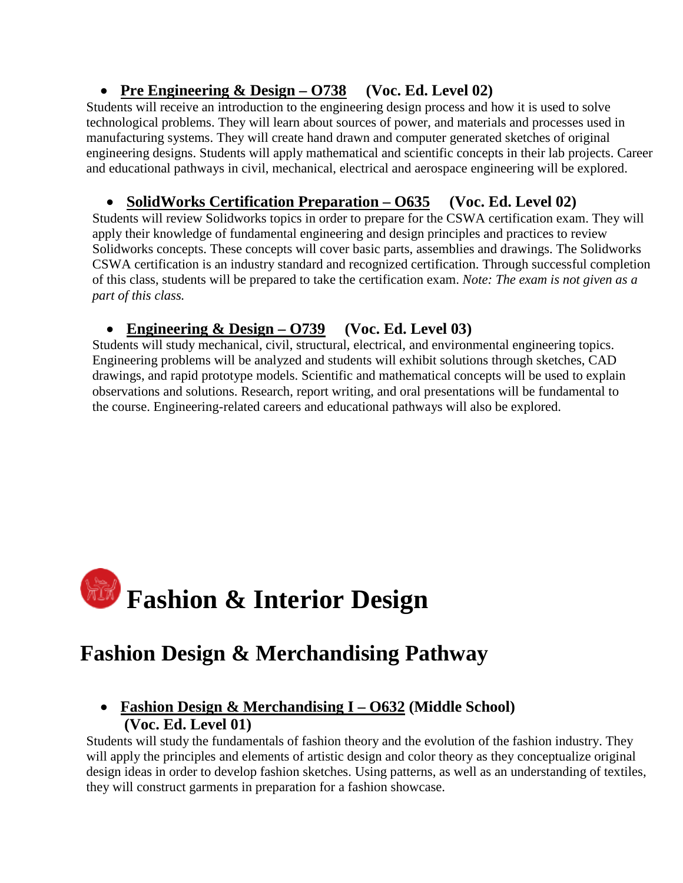## • **Pre Engineering & Design – O738 (Voc. Ed. Level 02)**

Students will receive an introduction to the engineering design process and how it is used to solve technological problems. They will learn about sources of power, and materials and processes used in manufacturing systems. They will create hand drawn and computer generated sketches of original engineering designs. Students will apply mathematical and scientific concepts in their lab projects. Career and educational pathways in civil, mechanical, electrical and aerospace engineering will be explored.

## • **SolidWorks Certification Preparation – O635 (Voc. Ed. Level 02)**

Students will review Solidworks topics in order to prepare for the CSWA certification exam. They will apply their knowledge of fundamental engineering and design principles and practices to review Solidworks concepts. These concepts will cover basic parts, assemblies and drawings. The Solidworks CSWA certification is an industry standard and recognized certification. Through successful completion of this class, students will be prepared to take the certification exam. *Note: The exam is not given as a part of this class.*

## • **Engineering & Design – O739 (Voc. Ed. Level 03)**

Students will study mechanical, civil, structural, electrical, and environmental engineering topics. Engineering problems will be analyzed and students will exhibit solutions through sketches, CAD drawings, and rapid prototype models. Scientific and mathematical concepts will be used to explain observations and solutions. Research, report writing, and oral presentations will be fundamental to the course. Engineering-related careers and educational pathways will also be explored.



# **Fashion Design & Merchandising Pathway**

## • **Fashion Design & Merchandising I – O632 (Middle School) (Voc. Ed. Level 01)**

Students will study the fundamentals of fashion theory and the evolution of the fashion industry. They will apply the principles and elements of artistic design and color theory as they conceptualize original design ideas in order to develop fashion sketches. Using patterns, as well as an understanding of textiles, they will construct garments in preparation for a fashion showcase.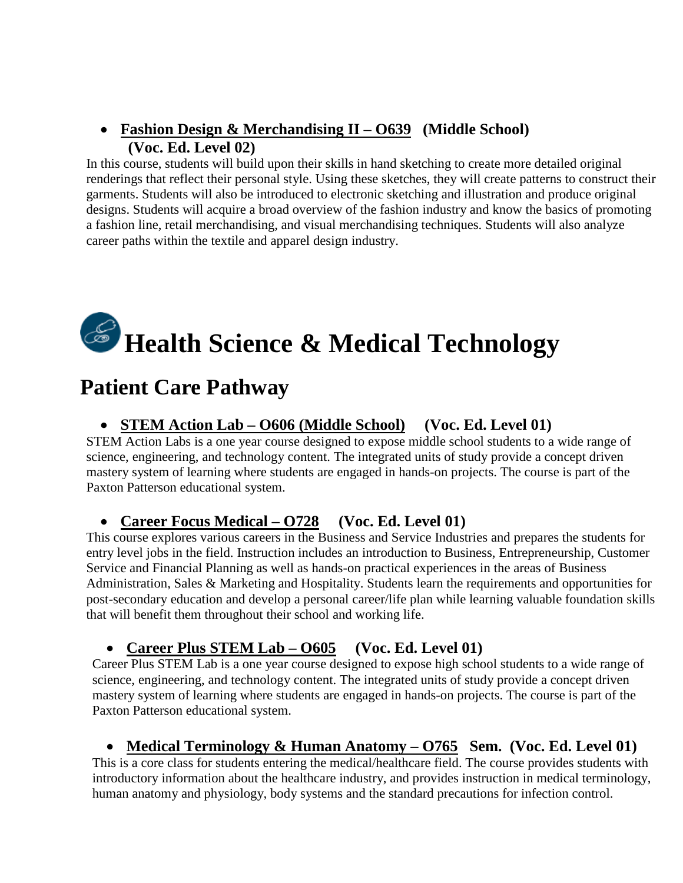### • **Fashion Design & Merchandising II – O639 (Middle School) (Voc. Ed. Level 02)**

In this course, students will build upon their skills in hand sketching to create more detailed original renderings that reflect their personal style. Using these sketches, they will create patterns to construct their garments. Students will also be introduced to electronic sketching and illustration and produce original designs. Students will acquire a broad overview of the fashion industry and know the basics of promoting a fashion line, retail merchandising, and visual merchandising techniques. Students will also analyze career paths within the textile and apparel design industry.

# **Health Science & Medical Technology**

## **Patient Care Pathway**

#### • **STEM Action Lab – O606 (Middle School) (Voc. Ed. Level 01)**

STEM Action Labs is a one year course designed to expose middle school students to a wide range of science, engineering, and technology content. The integrated units of study provide a concept driven mastery system of learning where students are engaged in hands-on projects. The course is part of the Paxton Patterson educational system.

#### • **Career Focus Medical – O728 (Voc. Ed. Level 01)**

This course explores various careers in the Business and Service Industries and prepares the students for entry level jobs in the field. Instruction includes an introduction to Business, Entrepreneurship, Customer Service and Financial Planning as well as hands-on practical experiences in the areas of Business Administration, Sales & Marketing and Hospitality. Students learn the requirements and opportunities for post-secondary education and develop a personal career/life plan while learning valuable foundation skills that will benefit them throughout their school and working life.

#### • **Career Plus STEM Lab – O605 (Voc. Ed. Level 01)**

Career Plus STEM Lab is a one year course designed to expose high school students to a wide range of science, engineering, and technology content. The integrated units of study provide a concept driven mastery system of learning where students are engaged in hands-on projects. The course is part of the Paxton Patterson educational system.

#### • **Medical Terminology & Human Anatomy – O765 Sem. (Voc. Ed. Level 01)**

This is a core class for students entering the medical/healthcare field. The course provides students with introductory information about the healthcare industry, and provides instruction in medical terminology, human anatomy and physiology, body systems and the standard precautions for infection control.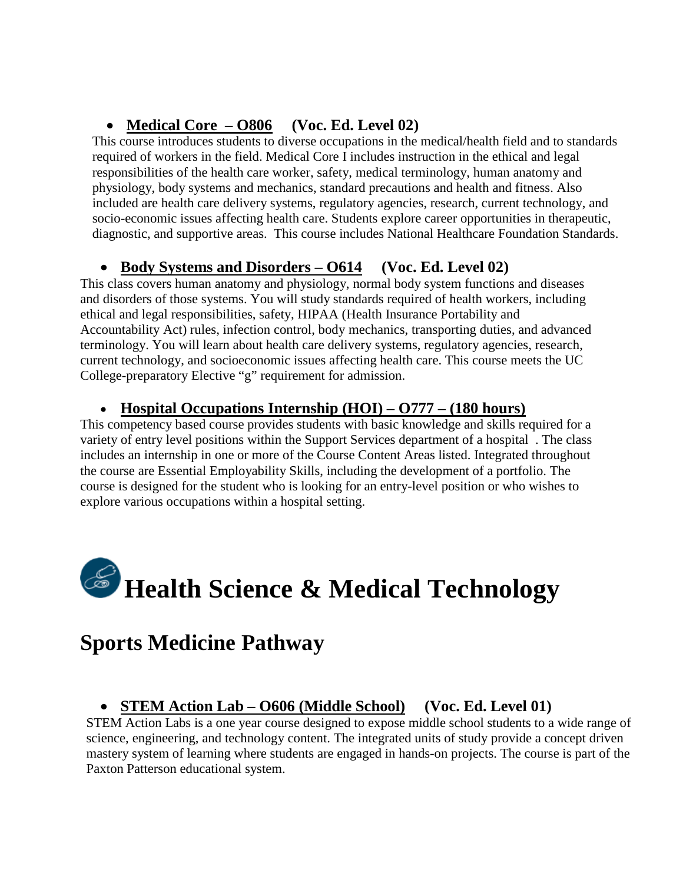## • **Medical Core – O806 (Voc. Ed. Level 02)**

This course introduces students to diverse occupations in the medical/health field and to standards required of workers in the field. Medical Core I includes instruction in the ethical and legal responsibilities of the health care worker, safety, medical terminology, human anatomy and physiology, body systems and mechanics, standard precautions and health and fitness. Also included are health care delivery systems, regulatory agencies, research, current technology, and socio-economic issues affecting health care. Students explore career opportunities in therapeutic, diagnostic, and supportive areas. This course includes National Healthcare Foundation Standards.

## • **Body Systems and Disorders – O614 (Voc. Ed. Level 02)**

This class covers human anatomy and physiology, normal body system functions and diseases and disorders of those systems. You will study standards required of health workers, including ethical and legal responsibilities, safety, HIPAA (Health Insurance Portability and Accountability Act) rules, infection control, body mechanics, transporting duties, and advanced terminology. You will learn about health care delivery systems, regulatory agencies, research, current technology, and socioeconomic issues affecting health care. This course meets the UC College-preparatory Elective "g" requirement for admission.

#### • **Hospital Occupations Internship (HOI) – O777 – (180 hours)**

This competency based course provides students with basic knowledge and skills required for a variety of entry level positions within the Support Services department of a hospital . The class includes an internship in one or more of the Course Content Areas listed. Integrated throughout the course are Essential Employability Skills, including the development of a portfolio. The course is designed for the student who is looking for an entry-level position or who wishes to explore various occupations within a hospital setting.

# **Health Science & Medical Technology**

# **Sports Medicine Pathway**

## • **STEM Action Lab – O606 (Middle School) (Voc. Ed. Level 01)**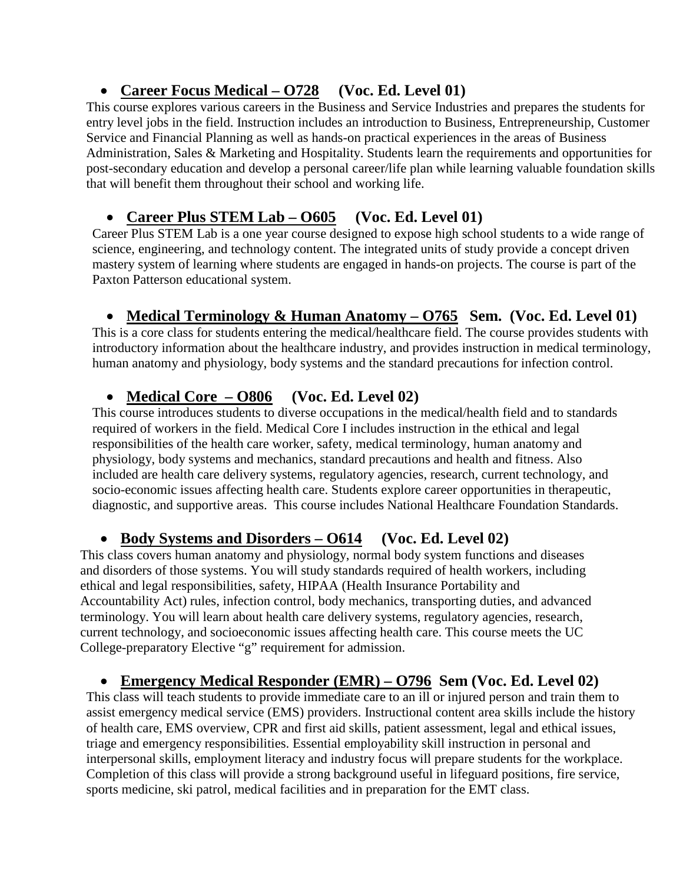## • **Career Focus Medical – O728 (Voc. Ed. Level 01)**

This course explores various careers in the Business and Service Industries and prepares the students for entry level jobs in the field. Instruction includes an introduction to Business, Entrepreneurship, Customer Service and Financial Planning as well as hands-on practical experiences in the areas of Business Administration, Sales & Marketing and Hospitality. Students learn the requirements and opportunities for post-secondary education and develop a personal career/life plan while learning valuable foundation skills that will benefit them throughout their school and working life.

## • **Career Plus STEM Lab – O605 (Voc. Ed. Level 01)**

Career Plus STEM Lab is a one year course designed to expose high school students to a wide range of science, engineering, and technology content. The integrated units of study provide a concept driven mastery system of learning where students are engaged in hands-on projects. The course is part of the Paxton Patterson educational system.

## • **Medical Terminology & Human Anatomy – O765 Sem. (Voc. Ed. Level 01)**

This is a core class for students entering the medical/healthcare field. The course provides students with introductory information about the healthcare industry, and provides instruction in medical terminology, human anatomy and physiology, body systems and the standard precautions for infection control.

## • **Medical Core – O806 (Voc. Ed. Level 02)**

This course introduces students to diverse occupations in the medical/health field and to standards required of workers in the field. Medical Core I includes instruction in the ethical and legal responsibilities of the health care worker, safety, medical terminology, human anatomy and physiology, body systems and mechanics, standard precautions and health and fitness. Also included are health care delivery systems, regulatory agencies, research, current technology, and socio-economic issues affecting health care. Students explore career opportunities in therapeutic, diagnostic, and supportive areas. This course includes National Healthcare Foundation Standards.

## • **Body Systems and Disorders – O614 (Voc. Ed. Level 02)**

This class covers human anatomy and physiology, normal body system functions and diseases and disorders of those systems. You will study standards required of health workers, including ethical and legal responsibilities, safety, HIPAA (Health Insurance Portability and Accountability Act) rules, infection control, body mechanics, transporting duties, and advanced terminology. You will learn about health care delivery systems, regulatory agencies, research, current technology, and socioeconomic issues affecting health care. This course meets the UC College-preparatory Elective "g" requirement for admission.

## • **Emergency Medical Responder (EMR) – O796 Sem (Voc. Ed. Level 02)**

This class will teach students to provide immediate care to an ill or injured person and train them to assist emergency medical service (EMS) providers. Instructional content area skills include the history of health care, EMS overview, CPR and first aid skills, patient assessment, legal and ethical issues, triage and emergency responsibilities. Essential employability skill instruction in personal and interpersonal skills, employment literacy and industry focus will prepare students for the workplace. Completion of this class will provide a strong background useful in lifeguard positions, fire service, sports medicine, ski patrol, medical facilities and in preparation for the EMT class.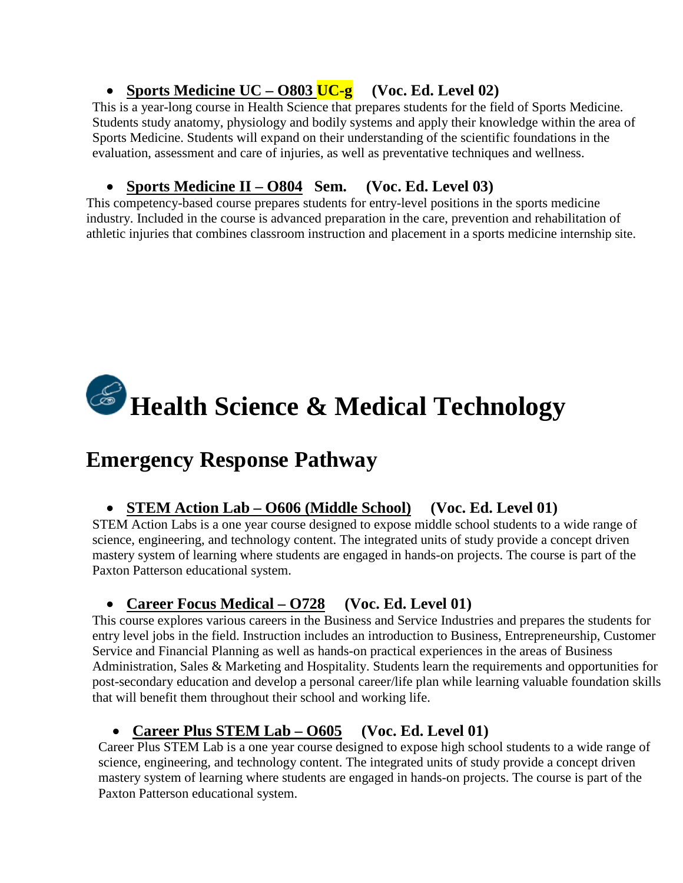## • **Sports Medicine UC – O803 UC-g (Voc. Ed. Level 02)**

This is a year-long course in Health Science that prepares students for the field of Sports Medicine. Students study anatomy, physiology and bodily systems and apply their knowledge within the area of Sports Medicine. Students will expand on their understanding of the scientific foundations in the evaluation, assessment and care of injuries, as well as preventative techniques and wellness.

## • **Sports Medicine II – O804 Sem. (Voc. Ed. Level 03)**

This competency-based course prepares students for entry-level positions in the sports medicine industry. Included in the course is advanced preparation in the care, prevention and rehabilitation of athletic injuries that combines classroom instruction and placement in a sports medicine internship site.

# **Health Science & Medical Technology**

# **Emergency Response Pathway**

## • **STEM Action Lab – O606 (Middle School) (Voc. Ed. Level 01)**

STEM Action Labs is a one year course designed to expose middle school students to a wide range of science, engineering, and technology content. The integrated units of study provide a concept driven mastery system of learning where students are engaged in hands-on projects. The course is part of the Paxton Patterson educational system.

## • **Career Focus Medical – O728 (Voc. Ed. Level 01)**

This course explores various careers in the Business and Service Industries and prepares the students for entry level jobs in the field. Instruction includes an introduction to Business, Entrepreneurship, Customer Service and Financial Planning as well as hands-on practical experiences in the areas of Business Administration, Sales & Marketing and Hospitality. Students learn the requirements and opportunities for post-secondary education and develop a personal career/life plan while learning valuable foundation skills that will benefit them throughout their school and working life.

## • **Career Plus STEM Lab – O605 (Voc. Ed. Level 01)**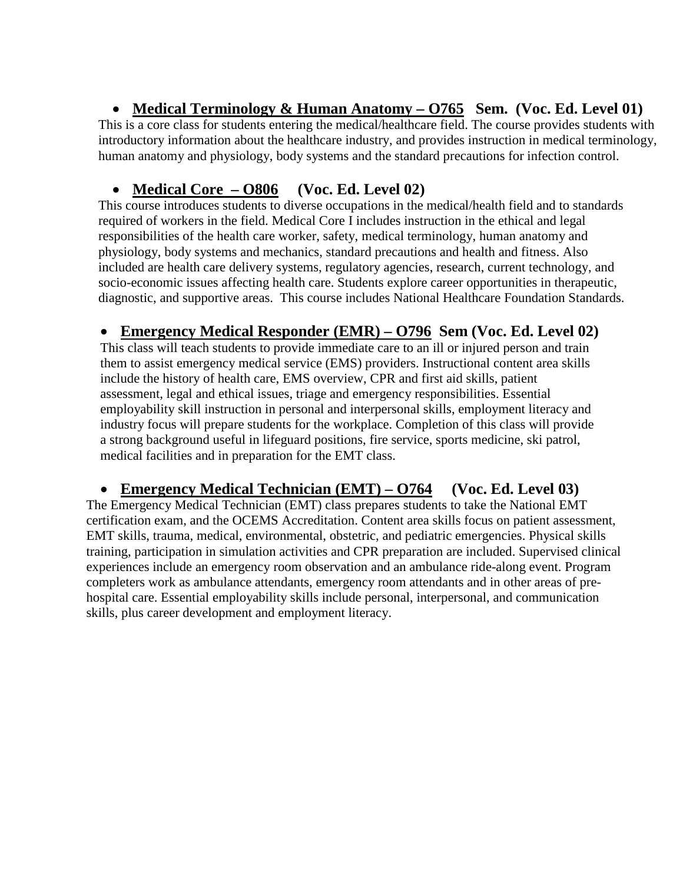## • **Medical Terminology & Human Anatomy – O765 Sem. (Voc. Ed. Level 01)**

This is a core class for students entering the medical/healthcare field. The course provides students with introductory information about the healthcare industry, and provides instruction in medical terminology, human anatomy and physiology, body systems and the standard precautions for infection control.

## • **Medical Core – O806 (Voc. Ed. Level 02)**

This course introduces students to diverse occupations in the medical/health field and to standards required of workers in the field. Medical Core I includes instruction in the ethical and legal responsibilities of the health care worker, safety, medical terminology, human anatomy and physiology, body systems and mechanics, standard precautions and health and fitness. Also included are health care delivery systems, regulatory agencies, research, current technology, and socio-economic issues affecting health care. Students explore career opportunities in therapeutic, diagnostic, and supportive areas. This course includes National Healthcare Foundation Standards.

## • **Emergency Medical Responder (EMR) – O796 Sem (Voc. Ed. Level 02)**

This class will teach students to provide immediate care to an ill or injured person and train them to assist emergency medical service (EMS) providers. Instructional content area skills include the history of health care, EMS overview, CPR and first aid skills, patient assessment, legal and ethical issues, triage and emergency responsibilities. Essential employability skill instruction in personal and interpersonal skills, employment literacy and industry focus will prepare students for the workplace. Completion of this class will provide a strong background useful in lifeguard positions, fire service, sports medicine, ski patrol, medical facilities and in preparation for the EMT class.

#### • **Emergency Medical Technician (EMT) – O764 (Voc. Ed. Level 03)**

The Emergency Medical Technician (EMT) class prepares students to take the National EMT certification exam, and the OCEMS Accreditation. Content area skills focus on patient assessment, EMT skills, trauma, medical, environmental, obstetric, and pediatric emergencies. Physical skills training, participation in simulation activities and CPR preparation are included. Supervised clinical experiences include an emergency room observation and an ambulance ride-along event. Program completers work as ambulance attendants, emergency room attendants and in other areas of prehospital care. Essential employability skills include personal, interpersonal, and communication skills, plus career development and employment literacy.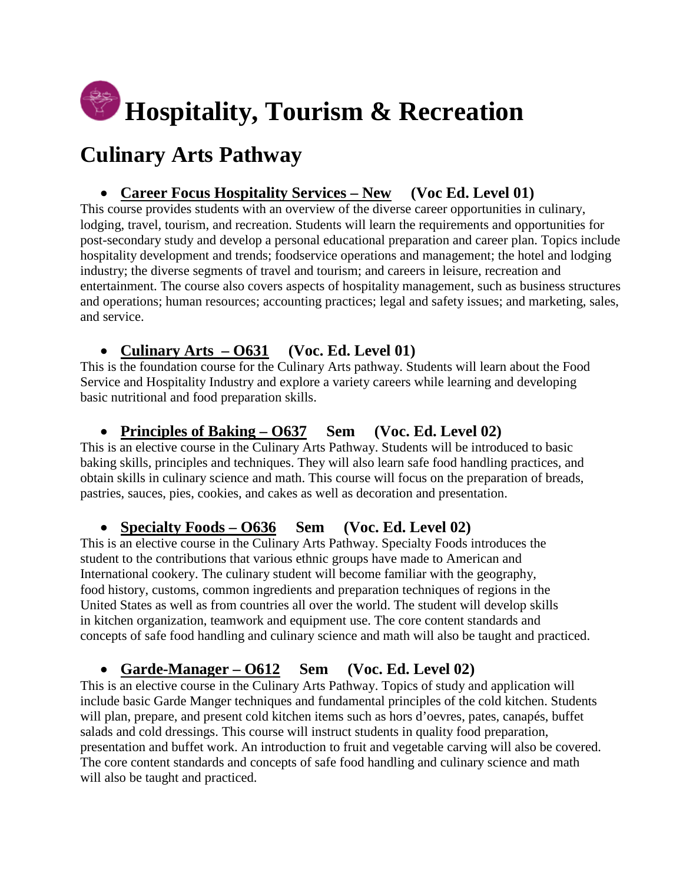# **Hospitality, Tourism & Recreation**

# **Culinary Arts Pathway**

## • **Career Focus Hospitality Services – New (Voc Ed. Level 01)**

This course provides students with an overview of the diverse career opportunities in culinary, lodging, travel, tourism, and recreation. Students will learn the requirements and opportunities for post-secondary study and develop a personal educational preparation and career plan. Topics include hospitality development and trends; foodservice operations and management; the hotel and lodging industry; the diverse segments of travel and tourism; and careers in leisure, recreation and entertainment. The course also covers aspects of hospitality management, such as business structures and operations; human resources; accounting practices; legal and safety issues; and marketing, sales, and service.

## • **Culinary Arts – O631 (Voc. Ed. Level 01)**

This is the foundation course for the Culinary Arts pathway. Students will learn about the Food Service and Hospitality Industry and explore a variety careers while learning and developing basic nutritional and food preparation skills.

## • **Principles of Baking – O637 Sem (Voc. Ed. Level 02)**

This is an elective course in the Culinary Arts Pathway. Students will be introduced to basic baking skills, principles and techniques. They will also learn safe food handling practices, and obtain skills in culinary science and math. This course will focus on the preparation of breads, pastries, sauces, pies, cookies, and cakes as well as decoration and presentation.

## • **Specialty Foods – O636 Sem (Voc. Ed. Level 02)**

This is an elective course in the Culinary Arts Pathway. Specialty Foods introduces the student to the contributions that various ethnic groups have made to American and International cookery. The culinary student will become familiar with the geography, food history, customs, common ingredients and preparation techniques of regions in the United States as well as from countries all over the world. The student will develop skills in kitchen organization, teamwork and equipment use. The core content standards and concepts of safe food handling and culinary science and math will also be taught and practiced.

## • **Garde-Manager – O612 Sem (Voc. Ed. Level 02)**

This is an elective course in the Culinary Arts Pathway. Topics of study and application will include basic Garde Manger techniques and fundamental principles of the cold kitchen. Students will plan, prepare, and present cold kitchen items such as hors d'oevres, pates, canapés, buffet salads and cold dressings. This course will instruct students in quality food preparation, presentation and buffet work. An introduction to fruit and vegetable carving will also be covered. The core content standards and concepts of safe food handling and culinary science and math will also be taught and practiced.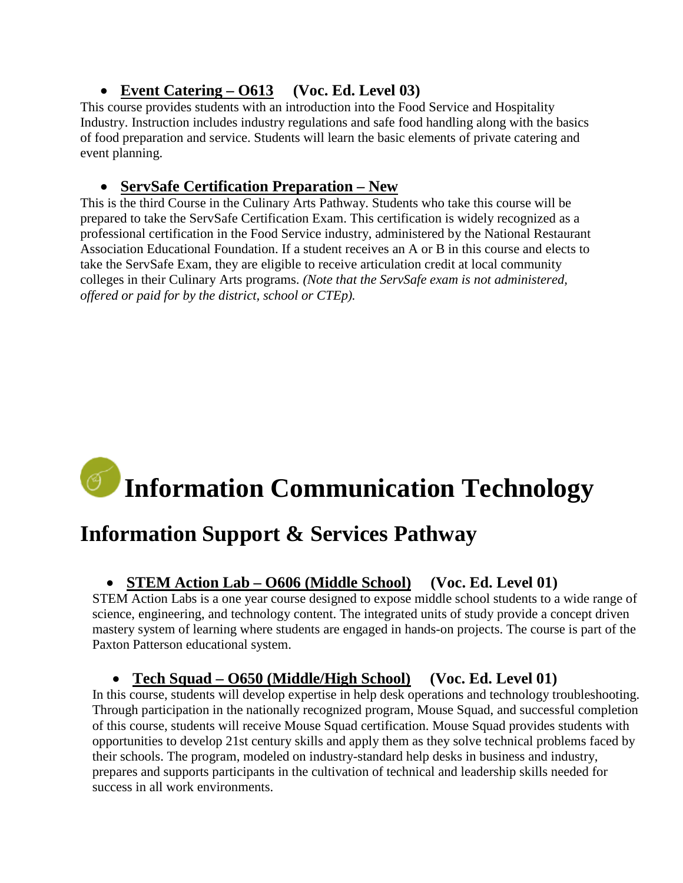## • **Event Catering – O613 (Voc. Ed. Level 03)**

This course provides students with an introduction into the Food Service and Hospitality Industry. Instruction includes industry regulations and safe food handling along with the basics of food preparation and service. Students will learn the basic elements of private catering and event planning.

### • **ServSafe Certification Preparation – New**

This is the third Course in the Culinary Arts Pathway. Students who take this course will be prepared to take the ServSafe Certification Exam. This certification is widely recognized as a professional certification in the Food Service industry, administered by the National Restaurant Association Educational Foundation. If a student receives an A or B in this course and elects to take the ServSafe Exam, they are eligible to receive articulation credit at local community colleges in their Culinary Arts programs. *(Note that the ServSafe exam is not administered, offered or paid for by the district, school or CTEp).*

# **Information Communication Technology**

# **Information Support & Services Pathway**

## • **STEM Action Lab – O606 (Middle School) (Voc. Ed. Level 01)**

STEM Action Labs is a one year course designed to expose middle school students to a wide range of science, engineering, and technology content. The integrated units of study provide a concept driven mastery system of learning where students are engaged in hands-on projects. The course is part of the Paxton Patterson educational system.

#### • **Tech Squad – O650 (Middle/High School) (Voc. Ed. Level 01)**

In this course, students will develop expertise in help desk operations and technology troubleshooting. Through participation in the nationally recognized program, Mouse Squad, and successful completion of this course, students will receive Mouse Squad certification. Mouse Squad provides students with opportunities to develop 21st century skills and apply them as they solve technical problems faced by their schools. The program, modeled on industry-standard help desks in business and industry, prepares and supports participants in the cultivation of technical and leadership skills needed for success in all work environments.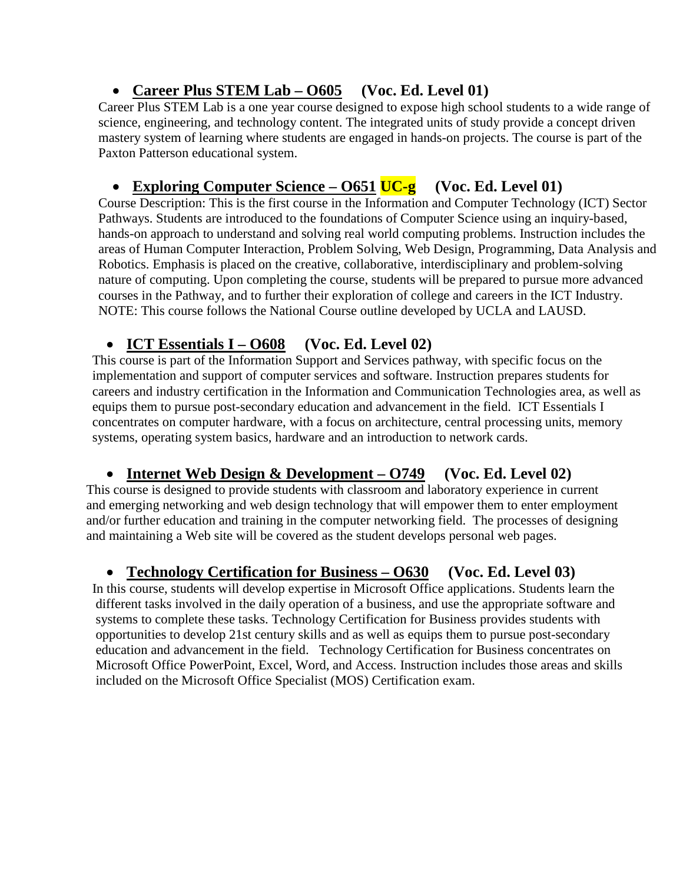## • **Career Plus STEM Lab – O605 (Voc. Ed. Level 01)**

Career Plus STEM Lab is a one year course designed to expose high school students to a wide range of science, engineering, and technology content. The integrated units of study provide a concept driven mastery system of learning where students are engaged in hands-on projects. The course is part of the Paxton Patterson educational system.

## • **Exploring Computer Science – O651 UC-g (Voc. Ed. Level 01)**

Course Description: This is the first course in the Information and Computer Technology (ICT) Sector Pathways. Students are introduced to the foundations of Computer Science using an inquiry-based, hands-on approach to understand and solving real world computing problems. Instruction includes the areas of Human Computer Interaction, Problem Solving, Web Design, Programming, Data Analysis and Robotics. Emphasis is placed on the creative, collaborative, interdisciplinary and problem-solving nature of computing. Upon completing the course, students will be prepared to pursue more advanced courses in the Pathway, and to further their exploration of college and careers in the ICT Industry. NOTE: This course follows the National Course outline developed by UCLA and LAUSD.

## • **ICT Essentials I – O608 (Voc. Ed. Level 02)**

This course is part of the Information Support and Services pathway, with specific focus on the implementation and support of computer services and software. Instruction prepares students for careers and industry certification in the Information and Communication Technologies area, as well as equips them to pursue post-secondary education and advancement in the field. ICT Essentials I concentrates on computer hardware, with a focus on architecture, central processing units, memory systems, operating system basics, hardware and an introduction to network cards.

## • **Internet Web Design & Development – O749 (Voc. Ed. Level 02)**

This course is designed to provide students with classroom and laboratory experience in current and emerging networking and web design technology that will empower them to enter employment and/or further education and training in the computer networking field. The processes of designing and maintaining a Web site will be covered as the student develops personal web pages.

## • **Technology Certification for Business – O630 (Voc. Ed. Level 03)**

In this course, students will develop expertise in Microsoft Office applications. Students learn the different tasks involved in the daily operation of a business, and use the appropriate software and systems to complete these tasks. Technology Certification for Business provides students with opportunities to develop 21st century skills and as well as equips them to pursue post-secondary education and advancement in the field. Technology Certification for Business concentrates on Microsoft Office PowerPoint, Excel, Word, and Access. Instruction includes those areas and skills included on the Microsoft Office Specialist (MOS) Certification exam.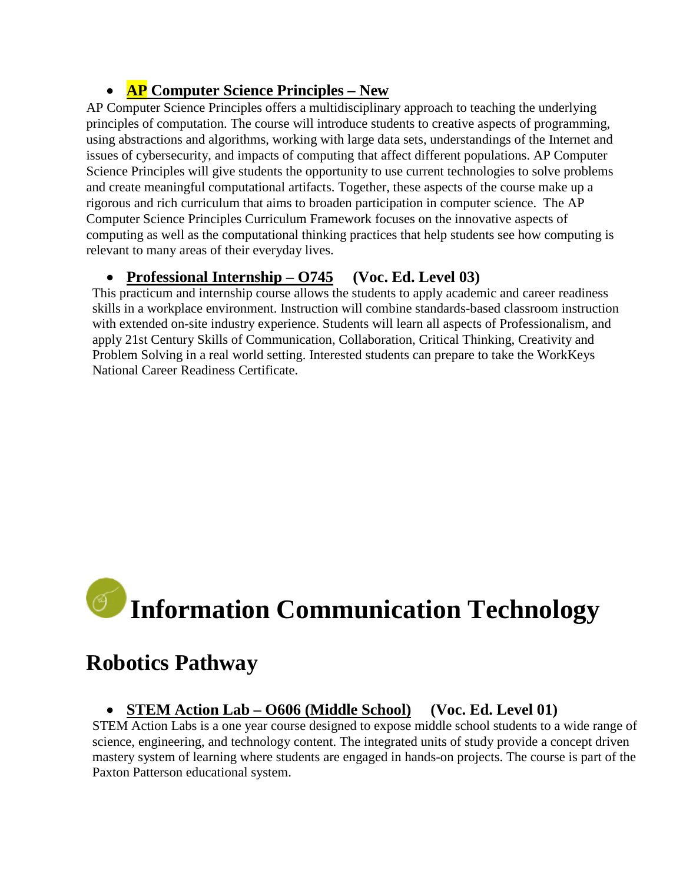## • **AP Computer Science Principles – New**

AP Computer Science Principles offers a multidisciplinary approach to teaching the underlying principles of computation. The course will introduce students to creative aspects of programming, using abstractions and algorithms, working with large data sets, understandings of the Internet and issues of cybersecurity, and impacts of computing that affect different populations. AP Computer Science Principles will give students the opportunity to use current technologies to solve problems and create meaningful computational artifacts. Together, these aspects of the course make up a rigorous and rich curriculum that aims to broaden participation in computer science. The [AP](http://secure-media.collegeboard.org/digitalServices/pdf/ap/ap-computer-science-principles-curriculum-framework.pdf) Computer Science Principles Curriculum [Framework](http://secure-media.collegeboard.org/digitalServices/pdf/ap/ap-computer-science-principles-curriculum-framework.pdf) focuses on the innovative aspects of computing as well as the computational thinking practices that help students see how computing is relevant to many areas of their everyday lives.

## • **Professional Internship – O745 (Voc. Ed. Level 03)**

This practicum and internship course allows the students to apply academic and career readiness skills in a workplace environment. Instruction will combine standards-based classroom instruction with extended on-site industry experience. Students will learn all aspects of Professionalism, and apply 21st Century Skills of Communication, Collaboration, Critical Thinking, Creativity and Problem Solving in a real world setting. Interested students can prepare to take the WorkKeys National Career Readiness Certificate.

# **Information Communication Technology**

## **Robotics Pathway**

#### • **STEM Action Lab – O606 (Middle School) (Voc. Ed. Level 01)**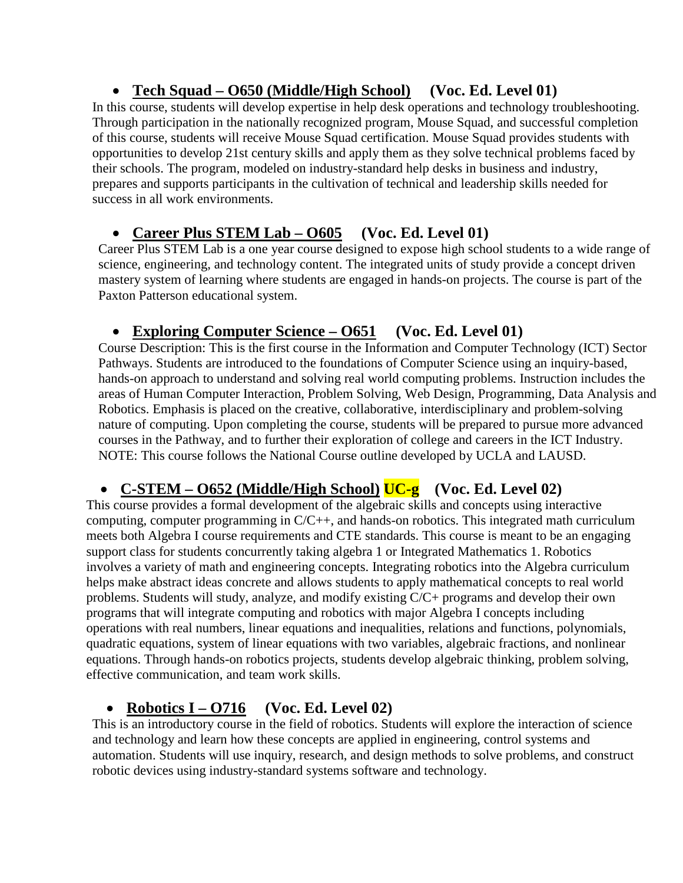## • **Tech Squad – O650 (Middle/High School) (Voc. Ed. Level 01)**

In this course, students will develop expertise in help desk operations and technology troubleshooting. Through participation in the nationally recognized program, Mouse Squad, and successful completion of this course, students will receive Mouse Squad certification. Mouse Squad provides students with opportunities to develop 21st century skills and apply them as they solve technical problems faced by their schools. The program, modeled on industry-standard help desks in business and industry, prepares and supports participants in the cultivation of technical and leadership skills needed for success in all work environments.

## • **Career Plus STEM Lab – O605 (Voc. Ed. Level 01)**

Career Plus STEM Lab is a one year course designed to expose high school students to a wide range of science, engineering, and technology content. The integrated units of study provide a concept driven mastery system of learning where students are engaged in hands-on projects. The course is part of the Paxton Patterson educational system.

## • **Exploring Computer Science – O651 (Voc. Ed. Level 01)**

Course Description: This is the first course in the Information and Computer Technology (ICT) Sector Pathways. Students are introduced to the foundations of Computer Science using an inquiry-based, hands-on approach to understand and solving real world computing problems. Instruction includes the areas of Human Computer Interaction, Problem Solving, Web Design, Programming, Data Analysis and Robotics. Emphasis is placed on the creative, collaborative, interdisciplinary and problem-solving nature of computing. Upon completing the course, students will be prepared to pursue more advanced courses in the Pathway, and to further their exploration of college and careers in the ICT Industry. NOTE: This course follows the National Course outline developed by UCLA and LAUSD.

## • **C-STEM – O652 (Middle/High School) UC-g (Voc. Ed. Level 02)**

This course provides a formal development of the algebraic skills and concepts using interactive computing, computer programming in C/C++, and hands-on robotics. This integrated math curriculum meets both Algebra I course requirements and CTE standards. This course is meant to be an engaging support class for students concurrently taking algebra 1 or Integrated Mathematics 1. Robotics involves a variety of math and engineering concepts. Integrating robotics into the Algebra curriculum helps make abstract ideas concrete and allows students to apply mathematical concepts to real world problems. Students will study, analyze, and modify existing C/C+ programs and develop their own programs that will integrate computing and robotics with major Algebra I concepts including operations with real numbers, linear equations and inequalities, relations and functions, polynomials, quadratic equations, system of linear equations with two variables, algebraic fractions, and nonlinear equations. Through hands-on robotics projects, students develop algebraic thinking, problem solving, effective communication, and team work skills.

## • **Robotics I – O716 (Voc. Ed. Level 02)**

This is an introductory course in the field of robotics. Students will explore the interaction of science and technology and learn how these concepts are applied in engineering, control systems and automation. Students will use inquiry, research, and design methods to solve problems, and construct robotic devices using industry-standard systems software and technology.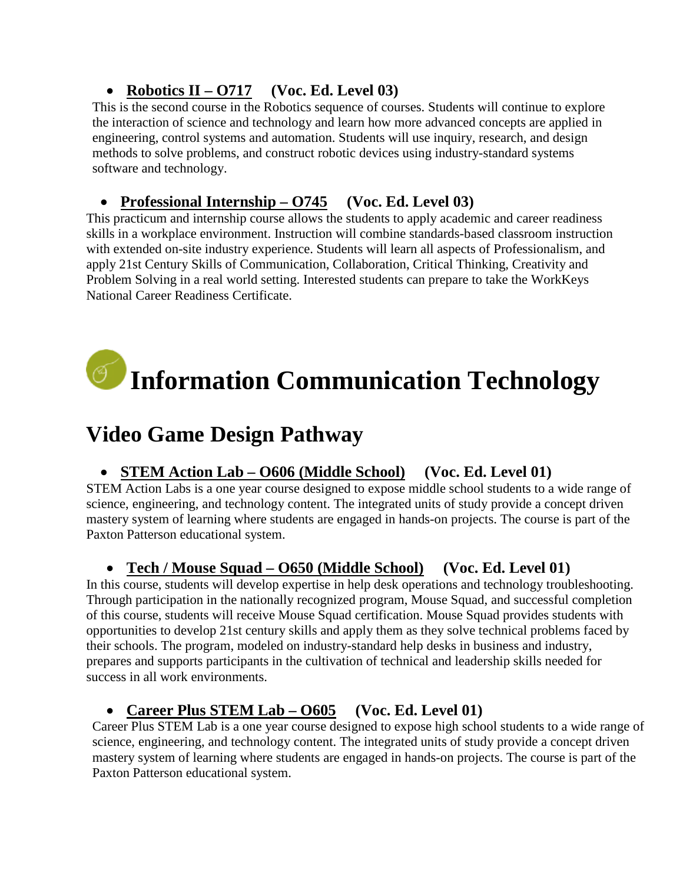## • **Robotics II – O717 (Voc. Ed. Level 03)**

This is the second course in the Robotics sequence of courses. Students will continue to explore the interaction of science and technology and learn how more advanced concepts are applied in engineering, control systems and automation. Students will use inquiry, research, and design methods to solve problems, and construct robotic devices using industry-standard systems software and technology.

## • **Professional Internship – O745 (Voc. Ed. Level 03)**

This practicum and internship course allows the students to apply academic and career readiness skills in a workplace environment. Instruction will combine standards-based classroom instruction with extended on-site industry experience. Students will learn all aspects of Professionalism, and apply 21st Century Skills of Communication, Collaboration, Critical Thinking, Creativity and Problem Solving in a real world setting. Interested students can prepare to take the WorkKeys National Career Readiness Certificate.

# **Information Communication Technology**

# **Video Game Design Pathway**

#### • **STEM Action Lab – O606 (Middle School) (Voc. Ed. Level 01)**

STEM Action Labs is a one year course designed to expose middle school students to a wide range of science, engineering, and technology content. The integrated units of study provide a concept driven mastery system of learning where students are engaged in hands-on projects. The course is part of the Paxton Patterson educational system.

#### • **Tech / Mouse Squad – O650 (Middle School) (Voc. Ed. Level 01)**

In this course, students will develop expertise in help desk operations and technology troubleshooting. Through participation in the nationally recognized program, Mouse Squad, and successful completion of this course, students will receive Mouse Squad certification. Mouse Squad provides students with opportunities to develop 21st century skills and apply them as they solve technical problems faced by their schools. The program, modeled on industry-standard help desks in business and industry, prepares and supports participants in the cultivation of technical and leadership skills needed for success in all work environments.

## • **Career Plus STEM Lab – O605 (Voc. Ed. Level 01)**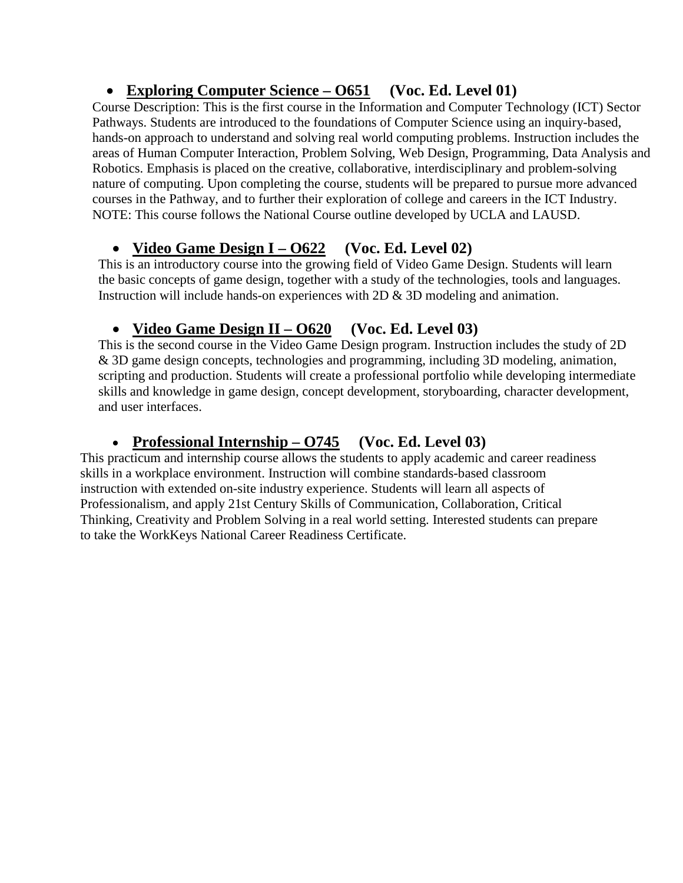## • **Exploring Computer Science – O651 (Voc. Ed. Level 01)**

Course Description: This is the first course in the Information and Computer Technology (ICT) Sector Pathways. Students are introduced to the foundations of Computer Science using an inquiry-based, hands-on approach to understand and solving real world computing problems. Instruction includes the areas of Human Computer Interaction, Problem Solving, Web Design, Programming, Data Analysis and Robotics. Emphasis is placed on the creative, collaborative, interdisciplinary and problem-solving nature of computing. Upon completing the course, students will be prepared to pursue more advanced courses in the Pathway, and to further their exploration of college and careers in the ICT Industry. NOTE: This course follows the National Course outline developed by UCLA and LAUSD.

## • **Video Game Design I – O622 (Voc. Ed. Level 02)**

This is an introductory course into the growing field of Video Game Design. Students will learn the basic concepts of game design, together with a study of the technologies, tools and languages. Instruction will include hands-on experiences with 2D & 3D modeling and animation.

## • **Video Game Design II – O620 (Voc. Ed. Level 03)**

This is the second course in the Video Game Design program. Instruction includes the study of 2D & 3D game design concepts, technologies and programming, including 3D modeling, animation, scripting and production. Students will create a professional portfolio while developing intermediate skills and knowledge in game design, concept development, storyboarding, character development, and user interfaces.

## • **Professional Internship – O745 (Voc. Ed. Level 03)**

This practicum and internship course allows the students to apply academic and career readiness skills in a workplace environment. Instruction will combine standards-based classroom instruction with extended on-site industry experience. Students will learn all aspects of Professionalism, and apply 21st Century Skills of Communication, Collaboration, Critical Thinking, Creativity and Problem Solving in a real world setting. Interested students can prepare to take the WorkKeys National Career Readiness Certificate.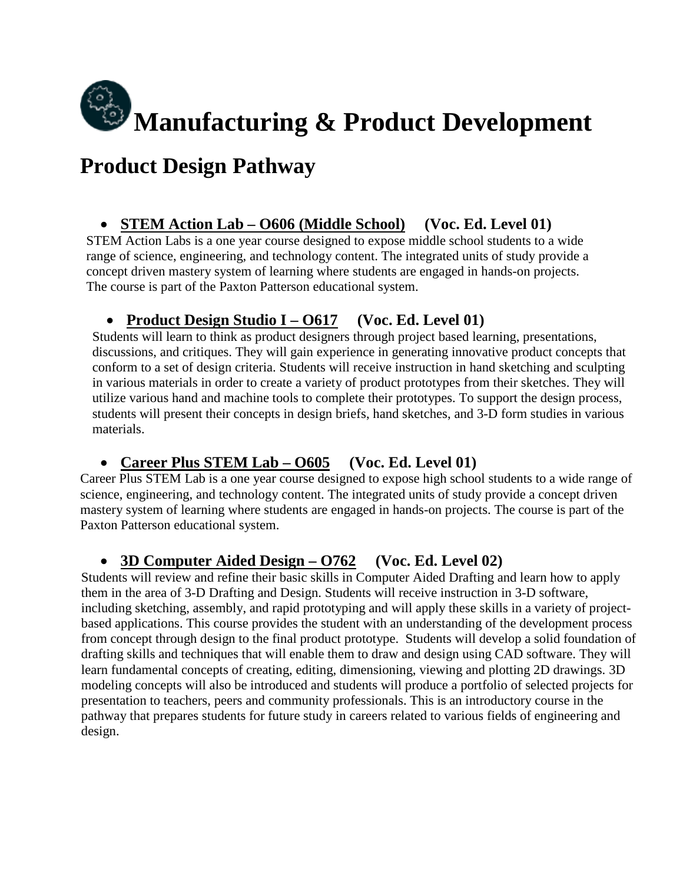

# **Product Design Pathway**

## • **STEM Action Lab – O606 (Middle School) (Voc. Ed. Level 01)**

STEM Action Labs is a one year course designed to expose middle school students to a wide range of science, engineering, and technology content. The integrated units of study provide a concept driven mastery system of learning where students are engaged in hands-on projects. The course is part of the Paxton Patterson educational system.

## • **Product Design Studio I – O617 (Voc. Ed. Level 01)**

Students will learn to think as product designers through project based learning, presentations, discussions, and critiques. They will gain experience in generating innovative product concepts that conform to a set of design criteria. Students will receive instruction in hand sketching and sculpting in various materials in order to create a variety of product prototypes from their sketches. They will utilize various hand and machine tools to complete their prototypes. To support the design process, students will present their concepts in design briefs, hand sketches, and 3-D form studies in various materials.

## • **Career Plus STEM Lab – O605 (Voc. Ed. Level 01)**

Career Plus STEM Lab is a one year course designed to expose high school students to a wide range of science, engineering, and technology content. The integrated units of study provide a concept driven mastery system of learning where students are engaged in hands-on projects. The course is part of the Paxton Patterson educational system.

#### • **3D Computer Aided Design – O762 (Voc. Ed. Level 02)**

Students will review and refine their basic skills in Computer Aided Drafting and learn how to apply them in the area of 3-D Drafting and Design. Students will receive instruction in 3-D software, including sketching, assembly, and rapid prototyping and will apply these skills in a variety of projectbased applications. This course provides the student with an understanding of the development process from concept through design to the final product prototype. Students will develop a solid foundation of drafting skills and techniques that will enable them to draw and design using CAD software. They will learn fundamental concepts of creating, editing, dimensioning, viewing and plotting 2D drawings. 3D modeling concepts will also be introduced and students will produce a portfolio of selected projects for presentation to teachers, peers and community professionals. This is an introductory course in the pathway that prepares students for future study in careers related to various fields of engineering and design.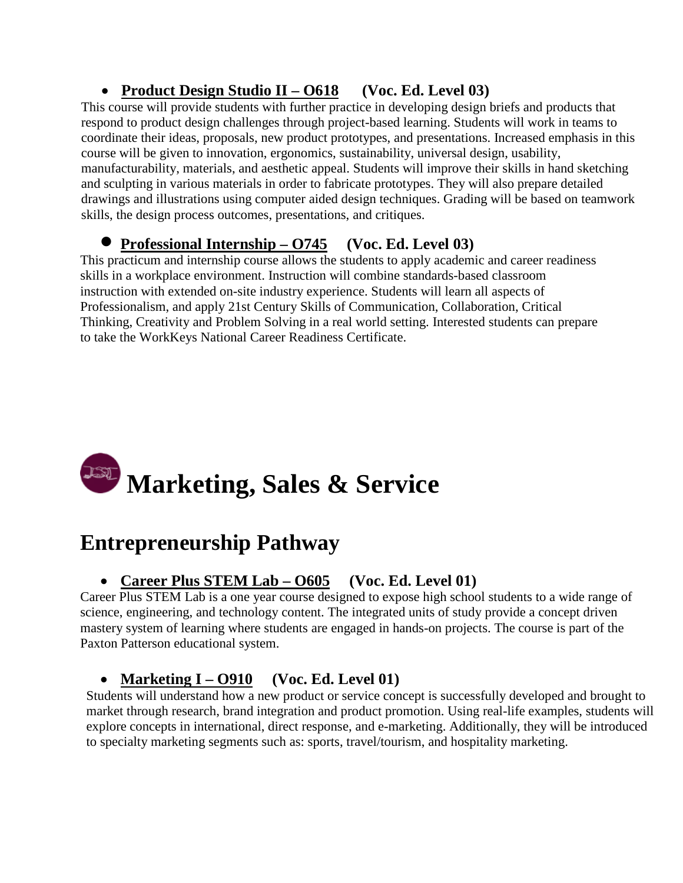## • **Product Design Studio II – O618 (Voc. Ed. Level 03)**

This course will provide students with further practice in developing design briefs and products that respond to product design challenges through project-based learning. Students will work in teams to coordinate their ideas, proposals, new product prototypes, and presentations. Increased emphasis in this course will be given to innovation, ergonomics, sustainability, universal design, usability, manufacturability, materials, and aesthetic appeal. Students will improve their skills in hand sketching and sculpting in various materials in order to fabricate prototypes. They will also prepare detailed drawings and illustrations using computer aided design techniques. Grading will be based on teamwork skills, the design process outcomes, presentations, and critiques.

## • **Professional Internship – O745 (Voc. Ed. Level 03)**

This practicum and internship course allows the students to apply academic and career readiness skills in a workplace environment. Instruction will combine standards-based classroom instruction with extended on-site industry experience. Students will learn all aspects of Professionalism, and apply 21st Century Skills of Communication, Collaboration, Critical Thinking, Creativity and Problem Solving in a real world setting. Interested students can prepare to take the WorkKeys National Career Readiness Certificate.

# **Marketing, Sales & Service**

# **Entrepreneurship Pathway**

## • **Career Plus STEM Lab – O605 (Voc. Ed. Level 01)**

Career Plus STEM Lab is a one year course designed to expose high school students to a wide range of science, engineering, and technology content. The integrated units of study provide a concept driven mastery system of learning where students are engaged in hands-on projects. The course is part of the Paxton Patterson educational system.

## • **Marketing I – O910 (Voc. Ed. Level 01)**

Students will understand how a new product or service concept is successfully developed and brought to market through research, brand integration and product promotion. Using real-life examples, students will explore concepts in international, direct response, and e-marketing. Additionally, they will be introduced to specialty marketing segments such as: sports, travel/tourism, and hospitality marketing.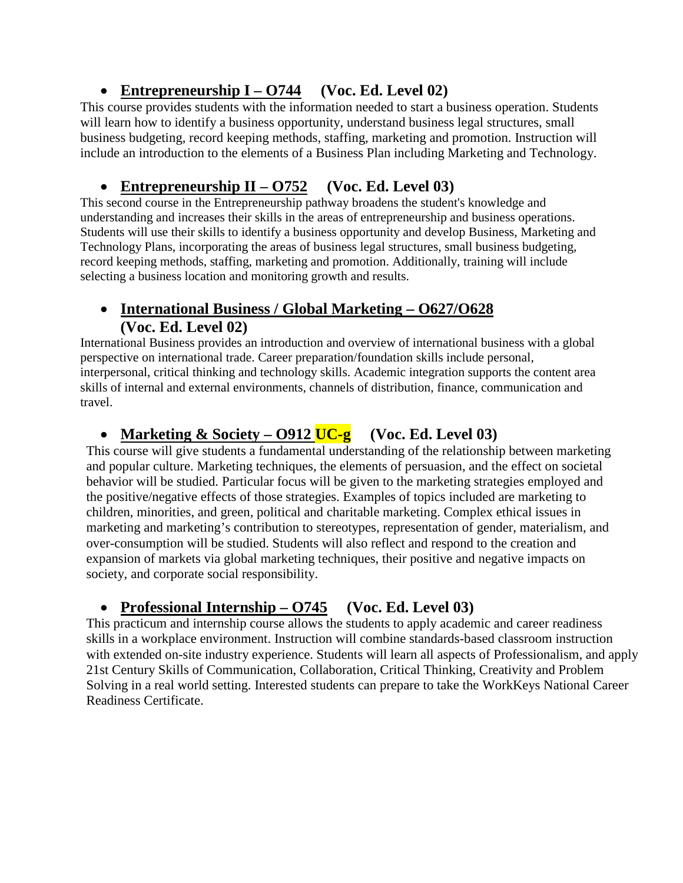## • **Entrepreneurship I – O744 (Voc. Ed. Level 02)**

This course provides students with the information needed to start a business operation. Students will learn how to identify a business opportunity, understand business legal structures, small business budgeting, record keeping methods, staffing, marketing and promotion. Instruction will include an introduction to the elements of a Business Plan including Marketing and Technology.

## • **Entrepreneurship II – O752 (Voc. Ed. Level 03)**

This second course in the Entrepreneurship pathway broadens the student's knowledge and understanding and increases their skills in the areas of entrepreneurship and business operations. Students will use their skills to identify a business opportunity and develop Business, Marketing and Technology Plans, incorporating the areas of business legal structures, small business budgeting, record keeping methods, staffing, marketing and promotion. Additionally, training will include selecting a business location and monitoring growth and results.

#### • **International Business / Global Marketing – O627/O628 (Voc. Ed. Level 02)**

International Business provides an introduction and overview of international business with a global perspective on international trade. Career preparation/foundation skills include personal, interpersonal, critical thinking and technology skills. Academic integration supports the content area skills of internal and external environments, channels of distribution, finance, communication and travel.

## • **Marketing & Society – O912 UC-g (Voc. Ed. Level 03)**

This course will give students a fundamental understanding of the relationship between marketing and popular culture. Marketing techniques, the elements of persuasion, and the effect on societal behavior will be studied. Particular focus will be given to the marketing strategies employed and the positive/negative effects of those strategies. Examples of topics included are marketing to children, minorities, and green, political and charitable marketing. Complex ethical issues in marketing and marketing's contribution to stereotypes, representation of gender, materialism, and over-consumption will be studied. Students will also reflect and respond to the creation and expansion of markets via global marketing techniques, their positive and negative impacts on society, and corporate social responsibility.

## • **Professional Internship – O745 (Voc. Ed. Level 03)**

This practicum and internship course allows the students to apply academic and career readiness skills in a workplace environment. Instruction will combine standards-based classroom instruction with extended on-site industry experience. Students will learn all aspects of Professionalism, and apply 21st Century Skills of Communication, Collaboration, Critical Thinking, Creativity and Problem Solving in a real world setting. Interested students can prepare to take the WorkKeys National Career Readiness Certificate.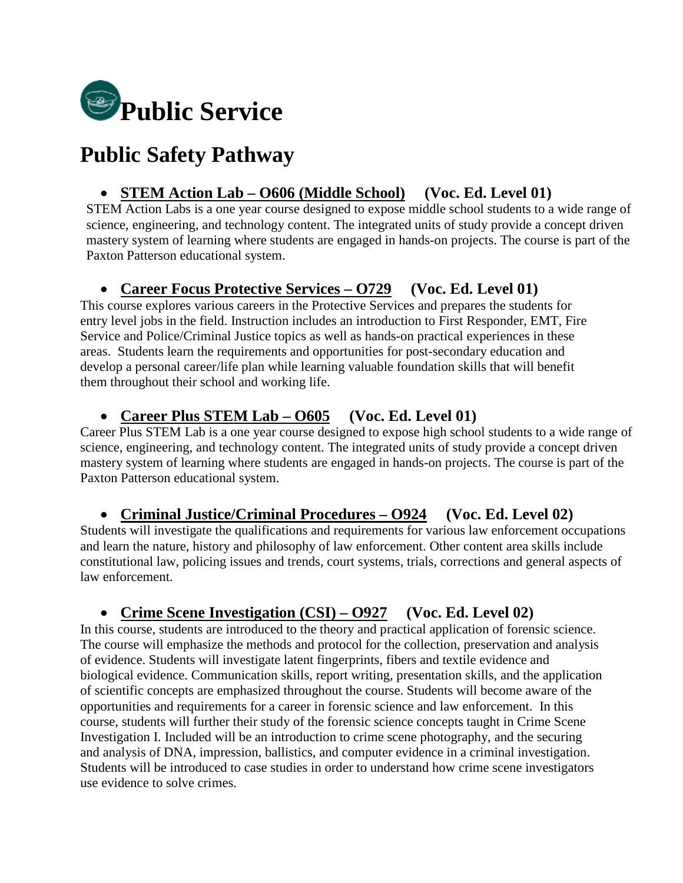

# **Public Safety Pathway**

#### • **STEM Action Lab – O606 (Middle School) (Voc. Ed. Level 01)**

STEM Action Labs is a one year course designed to expose middle school students to a wide range of science, engineering, and technology content. The integrated units of study provide a concept driven mastery system of learning where students are engaged in hands-on projects. The course is part of the Paxton Patterson educational system.

## • **Career Focus Protective Services – O729 (Voc. Ed. Level 01)**

This course explores various careers in the Protective Services and prepares the students for entry level jobs in the field. Instruction includes an introduction to First Responder, EMT, Fire Service and Police/Criminal Justice topics as well as hands-on practical experiences in these areas. Students learn the requirements and opportunities for post-secondary education and develop a personal career/life plan while learning valuable foundation skills that will benefit them throughout their school and working life.

#### • **Career Plus STEM Lab – O605 (Voc. Ed. Level 01)**

Career Plus STEM Lab is a one year course designed to expose high school students to a wide range of science, engineering, and technology content. The integrated units of study provide a concept driven mastery system of learning where students are engaged in hands-on projects. The course is part of the Paxton Patterson educational system.

#### • **Criminal Justice/Criminal Procedures – O924 (Voc. Ed. Level 02)**

Students will investigate the qualifications and requirements for various law enforcement occupations and learn the nature, history and philosophy of law enforcement. Other content area skills include constitutional law, policing issues and trends, court systems, trials, corrections and general aspects of law enforcement.

#### • **Crime Scene Investigation (CSI) – O927 (Voc. Ed. Level 02)**

In this course, students are introduced to the theory and practical application of forensic science. The course will emphasize the methods and protocol for the collection, preservation and analysis of evidence. Students will investigate latent fingerprints, fibers and textile evidence and biological evidence. Communication skills, report writing, presentation skills, and the application of scientific concepts are emphasized throughout the course. Students will become aware of the opportunities and requirements for a career in forensic science and law enforcement. In this course, students will further their study of the forensic science concepts taught in Crime Scene Investigation I. Included will be an introduction to crime scene photography, and the securing and analysis of DNA, impression, ballistics, and computer evidence in a criminal investigation. Students will be introduced to case studies in order to understand how crime scene investigators use evidence to solve crimes.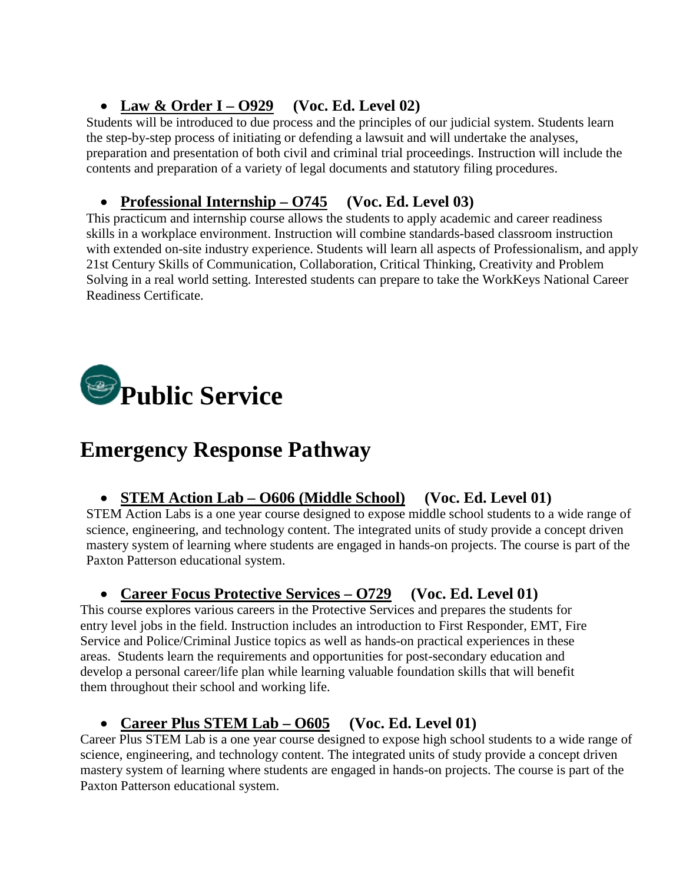## • **Law & Order I – O929 (Voc. Ed. Level 02)**

Students will be introduced to due process and the principles of our judicial system. Students learn the step-by-step process of initiating or defending a lawsuit and will undertake the analyses, preparation and presentation of both civil and criminal trial proceedings. Instruction will include the contents and preparation of a variety of legal documents and statutory filing procedures.

## • **Professional Internship – O745 (Voc. Ed. Level 03)**

This practicum and internship course allows the students to apply academic and career readiness skills in a workplace environment. Instruction will combine standards-based classroom instruction with extended on-site industry experience. Students will learn all aspects of Professionalism, and apply 21st Century Skills of Communication, Collaboration, Critical Thinking, Creativity and Problem Solving in a real world setting. Interested students can prepare to take the WorkKeys National Career Readiness Certificate.



# **Emergency Response Pathway**

## • **STEM Action Lab – O606 (Middle School) (Voc. Ed. Level 01)**

STEM Action Labs is a one year course designed to expose middle school students to a wide range of science, engineering, and technology content. The integrated units of study provide a concept driven mastery system of learning where students are engaged in hands-on projects. The course is part of the Paxton Patterson educational system.

## • **Career Focus Protective Services – O729 (Voc. Ed. Level 01)**

This course explores various careers in the Protective Services and prepares the students for entry level jobs in the field. Instruction includes an introduction to First Responder, EMT, Fire Service and Police/Criminal Justice topics as well as hands-on practical experiences in these areas. Students learn the requirements and opportunities for post-secondary education and develop a personal career/life plan while learning valuable foundation skills that will benefit them throughout their school and working life.

## • **Career Plus STEM Lab – O605 (Voc. Ed. Level 01)**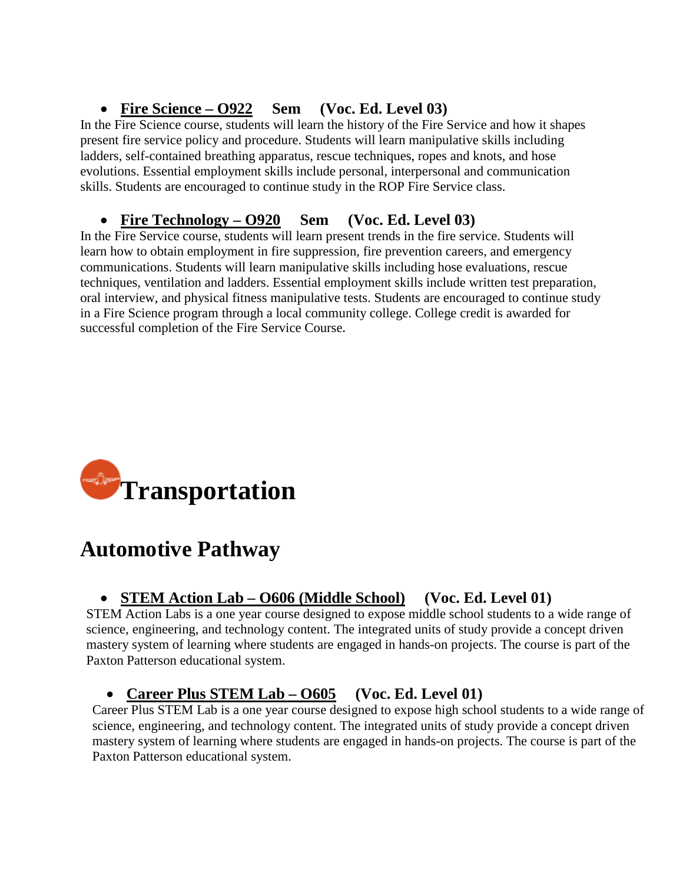## • **Fire Science – O922 Sem (Voc. Ed. Level 03)**

In the Fire Science course, students will learn the history of the Fire Service and how it shapes present fire service policy and procedure. Students will learn manipulative skills including ladders, self-contained breathing apparatus, rescue techniques, ropes and knots, and hose evolutions. Essential employment skills include personal, interpersonal and communication skills. Students are encouraged to continue study in the ROP Fire Service class.

## • **Fire Technology – O920 Sem (Voc. Ed. Level 03)**

In the Fire Service course, students will learn present trends in the fire service. Students will learn how to obtain employment in fire suppression, fire prevention careers, and emergency communications. Students will learn manipulative skills including hose evaluations, rescue techniques, ventilation and ladders. Essential employment skills include written test preparation, oral interview, and physical fitness manipulative tests. Students are encouraged to continue study in a Fire Science program through a local community college. College credit is awarded for successful completion of the Fire Service Course.



# **Automotive Pathway**

## • **STEM Action Lab – O606 (Middle School) (Voc. Ed. Level 01)**

STEM Action Labs is a one year course designed to expose middle school students to a wide range of science, engineering, and technology content. The integrated units of study provide a concept driven mastery system of learning where students are engaged in hands-on projects. The course is part of the Paxton Patterson educational system.

## • **Career Plus STEM Lab – O605 (Voc. Ed. Level 01)**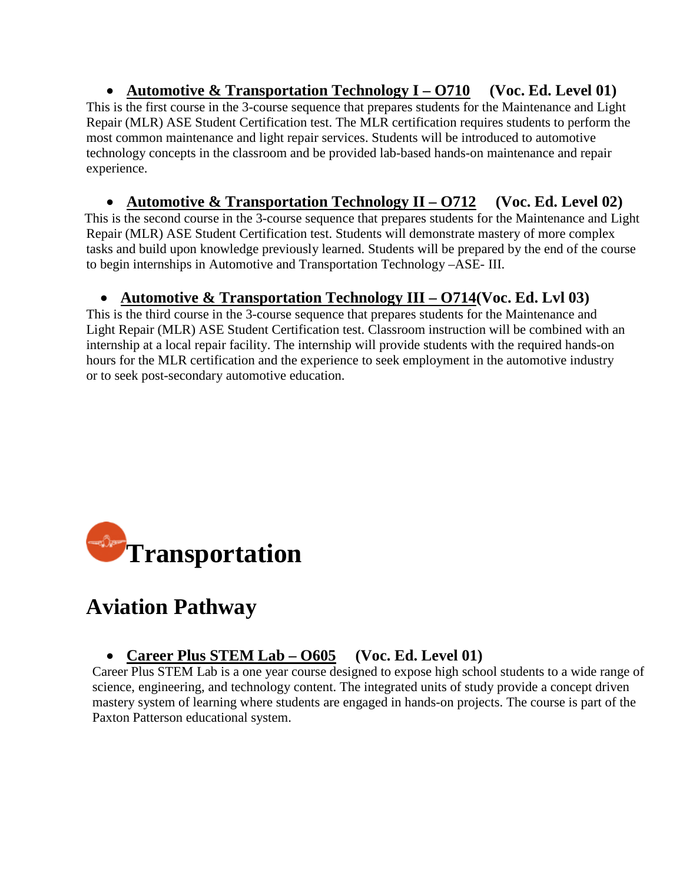• **Automotive & Transportation Technology I – O710 (Voc. Ed. Level 01)** This is the first course in the 3-course sequence that prepares students for the Maintenance and Light Repair (MLR) ASE Student Certification test. The MLR certification requires students to perform the most common maintenance and light repair services. Students will be introduced to automotive technology concepts in the classroom and be provided lab-based hands-on maintenance and repair experience.

• **Automotive & Transportation Technology II – O712 (Voc. Ed. Level 02)** This is the second course in the 3-course sequence that prepares students for the Maintenance and Light Repair (MLR) ASE Student Certification test. Students will demonstrate mastery of more complex tasks and build upon knowledge previously learned. Students will be prepared by the end of the course to begin internships in Automotive and Transportation Technology –ASE- III.

## • **Automotive & Transportation Technology III – O714(Voc. Ed. Lvl 03)**

This is the third course in the 3-course sequence that prepares students for the Maintenance and Light Repair (MLR) ASE Student Certification test. Classroom instruction will be combined with an internship at a local repair facility. The internship will provide students with the required hands-on hours for the MLR certification and the experience to seek employment in the automotive industry or to seek post-secondary automotive education.



# **Aviation Pathway**

## • **Career Plus STEM Lab – O605 (Voc. Ed. Level 01)**